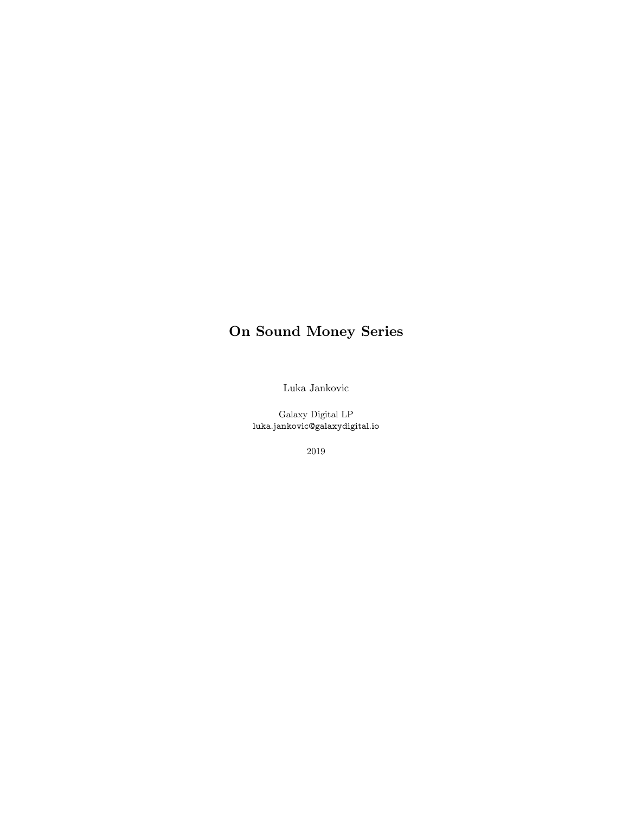# **On Sound Money Series**

Luka Jankovic

Galaxy Digital LP luka.jankovic@galaxydigital.io

2019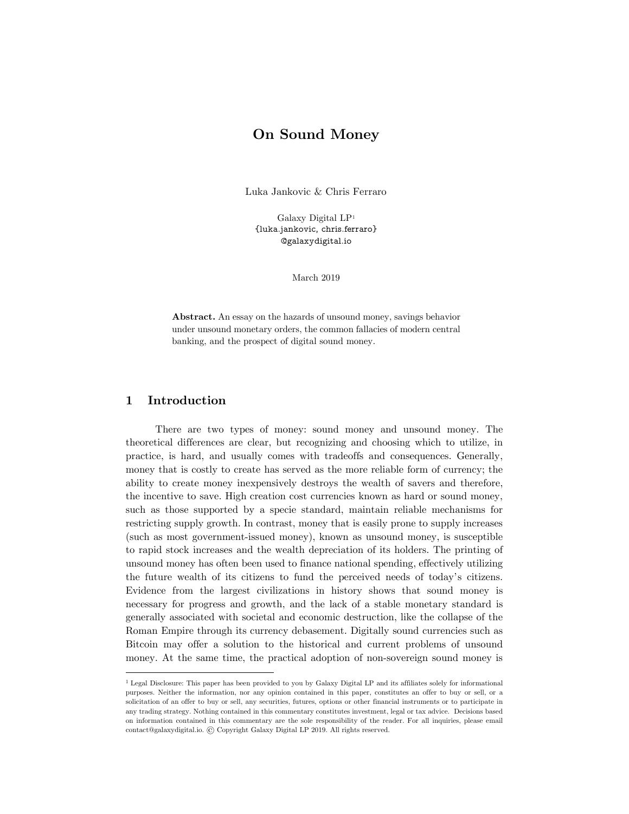# **On Sound Money**

Luka Jankovic & Chris Ferraro

Galaxy Digital LP[1](#page-9-0) {luka.jankovic, chris.ferraro} @galaxydigital.io

March 2019

**Abstract.** An essay on the hazards of unsound money, savings behavior under unsound monetary orders, the common fallacies of modern central banking, and the prospect of digital sound money.

# **1 Introduction**

There are two types of money: sound money and unsound money. The theoretical differences are clear, but recognizing and choosing which to utilize, in practice, is hard, and usually comes with tradeoffs and consequences. Generally, money that is costly to create has served as the more reliable form of currency; the ability to create money inexpensively destroys the wealth of savers and therefore, the incentive to save. High creation cost currencies known as hard or sound money, such as those supported by a specie standard, maintain reliable mechanisms for restricting supply growth. In contrast, money that is easily prone to supply increases (such as most government-issued money), known as unsound money, is susceptible to rapid stock increases and the wealth depreciation of its holders. The printing of unsound money has often been used to finance national spending, effectively utilizing the future wealth of its citizens to fund the perceived needs of today's citizens. Evidence from the largest civilizations in history shows that sound money is necessary for progress and growth, and the lack of a stable monetary standard is generally associated with societal and economic destruction, like the collapse of the Roman Empire through its currency debasement. Digitally sound currencies such as Bitcoin may offer a solution to the historical and current problems of unsound money. At the same time, the practical adoption of non-sovereign sound money is

<sup>&</sup>lt;sup>1</sup> Legal Disclosure: This paper has been provided to you by Galaxy Digital LP and its affiliates solely for informational purposes. Neither the information, nor any opinion contained in this paper, constitutes an offer to buy or sell, or a solicitation of an offer to buy or sell, any securities, futures, options or other financial instruments or to participate in any trading strategy. Nothing contained in this commentary constitutes investment, legal or tax advice. Decisions based on information contained in this commentary are the sole responsibility of the reader. For all inquiries, please email contact@galaxydigital.io. © Copyright Galaxy Digital LP 2019. All rights reserved.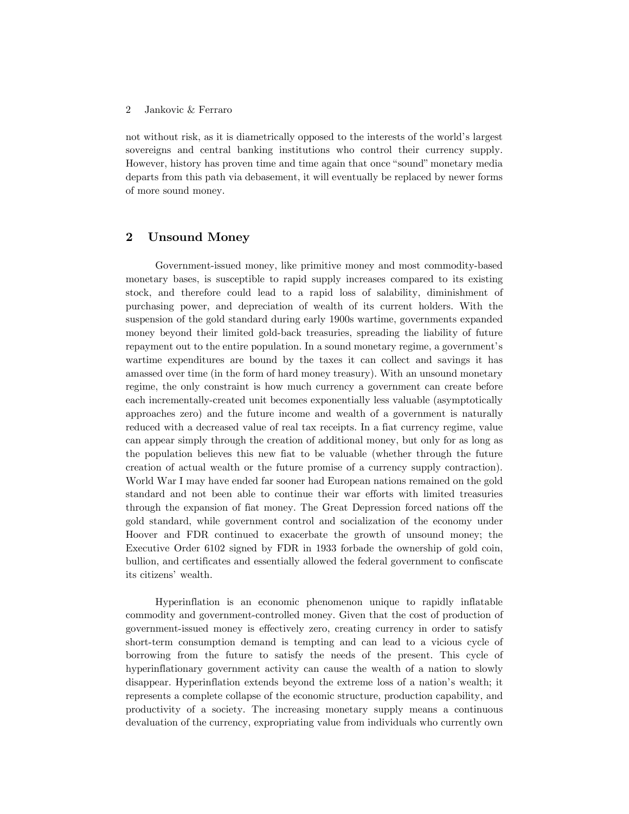#### 2 Jankovic & Ferraro

not without risk, as it is diametrically opposed to the interests of the world's largest sovereigns and central banking institutions who control their currency supply. However, history has proven time and time again that once "sound" monetary media departs from this path via debasement, it will eventually be replaced by newer forms of more sound money.

# **2 Unsound Money**

Government-issued money, like primitive money and most commodity-based monetary bases, is susceptible to rapid supply increases compared to its existing stock, and therefore could lead to a rapid loss of salability, diminishment of purchasing power, and depreciation of wealth of its current holders. With the suspension of the gold standard during early 1900s wartime, governments expanded money beyond their limited gold-back treasuries, spreading the liability of future repayment out to the entire population. In a sound monetary regime, a government's wartime expenditures are bound by the taxes it can collect and savings it has amassed over time (in the form of hard money treasury). With an unsound monetary regime, the only constraint is how much currency a government can create before each incrementally-created unit becomes exponentially less valuable (asymptotically approaches zero) and the future income and wealth of a government is naturally reduced with a decreased value of real tax receipts. In a fiat currency regime, value can appear simply through the creation of additional money, but only for as long as the population believes this new fiat to be valuable (whether through the future creation of actual wealth or the future promise of a currency supply contraction). World War I may have ended far sooner had European nations remained on the gold standard and not been able to continue their war efforts with limited treasuries through the expansion of fiat money. The Great Depression forced nations off the gold standard, while government control and socialization of the economy under Hoover and FDR continued to exacerbate the growth of unsound money; the Executive Order 6102 signed by FDR in 1933 forbade the ownership of gold coin, bullion, and certificates and essentially allowed the federal government to confiscate its citizens' wealth.

Hyperinflation is an economic phenomenon unique to rapidly inflatable commodity and government-controlled money. Given that the cost of production of government-issued money is effectively zero, creating currency in order to satisfy short-term consumption demand is tempting and can lead to a vicious cycle of borrowing from the future to satisfy the needs of the present. This cycle of hyperinflationary government activity can cause the wealth of a nation to slowly disappear. Hyperinflation extends beyond the extreme loss of a nation's wealth; it represents a complete collapse of the economic structure, production capability, and productivity of a society. The increasing monetary supply means a continuous devaluation of the currency, expropriating value from individuals who currently own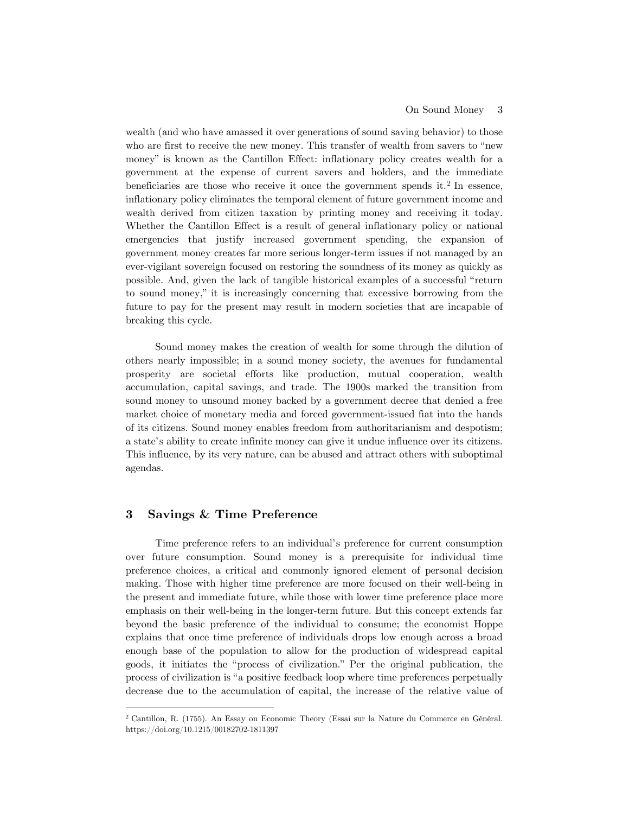wealth (and who have amassed it over generations of sound saving behavior) to those who are first to receive the new money. This transfer of wealth from savers to "new money" is known as the Cantillon Effect: inflationary policy creates wealth for a government at the expense of current savers and holders, and the immediate beneficiaries are those who receive it once the government spends it.<sup>[2](#page-3-0)</sup> In essence, inflationary policy eliminates the temporal element of future government income and wealth derived from citizen taxation by printing money and receiving it today. Whether the Cantillon Effect is a result of general inflationary policy or national emergencies that justify increased government spending, the expansion of government money creates far more serious longer-term issues if not managed by an ever-vigilant sovereign focused on restoring the soundness of its money as quickly as possible. And, given the lack of tangible historical examples of a successful "return to sound money," it is increasingly concerning that excessive borrowing from the future to pay for the present may result in modern societies that are incapable of breaking this cycle.

Sound money makes the creation of wealth for some through the dilution of others nearly impossible; in a sound money society, the avenues for fundamental prosperity are societal efforts like production, mutual cooperation, wealth accumulation, capital savings, and trade. The 1900s marked the transition from sound money to unsound money backed by a government decree that denied a free market choice of monetary media and forced government-issued fiat into the hands of its citizens. Sound money enables freedom from authoritarianism and despotism; a state's ability to create infinite money can give it undue influence over its citizens. This influence, by its very nature, can be abused and attract others with suboptimal agendas.

# **3 Savings & Time Preference**

Time preference refers to an individual's preference for current consumption over future consumption. Sound money is a prerequisite for individual time preference choices, a critical and commonly ignored element of personal decision making. Those with higher time preference are more focused on their well-being in the present and immediate future, while those with lower time preference place more emphasis on their well-being in the longer-term future. But this concept extends far beyond the basic preference of the individual to consume; the economist Hoppe explains that once time preference of individuals drops low enough across a broad enough base of the population to allow for the production of widespread capital goods, it initiates the "process of civilization." Per the original publication, the process of civilization is "a positive feedback loop where time preferences perpetually decrease due to the accumulation of capital, the increase of the relative value of

<span id="page-3-0"></span> <sup>2</sup> Cantillon, R. (1755). An Essay on Economic Theory (Essai sur la Nature du Commerce en Général. https://doi.org/10.1215/00182702-1811397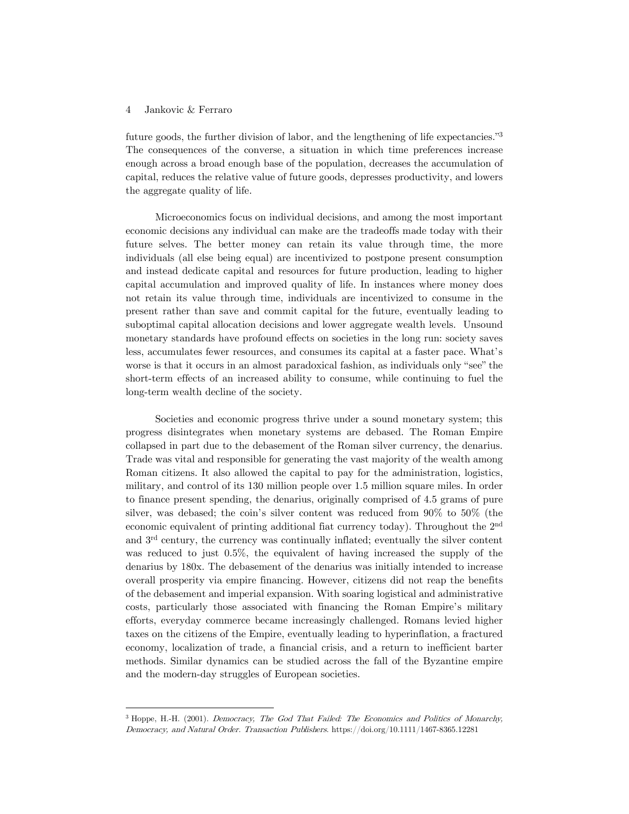#### 4 Jankovic & Ferraro

future goods, the further division of labor, and the lengthening of life expectancies."[3](#page-4-0) The consequences of the converse, a situation in which time preferences increase enough across a broad enough base of the population, decreases the accumulation of capital, reduces the relative value of future goods, depresses productivity, and lowers the aggregate quality of life.

Microeconomics focus on individual decisions, and among the most important economic decisions any individual can make are the tradeoffs made today with their future selves. The better money can retain its value through time, the more individuals (all else being equal) are incentivized to postpone present consumption and instead dedicate capital and resources for future production, leading to higher capital accumulation and improved quality of life. In instances where money does not retain its value through time, individuals are incentivized to consume in the present rather than save and commit capital for the future, eventually leading to suboptimal capital allocation decisions and lower aggregate wealth levels. Unsound monetary standards have profound effects on societies in the long run: society saves less, accumulates fewer resources, and consumes its capital at a faster pace. What's worse is that it occurs in an almost paradoxical fashion, as individuals only "see" the short-term effects of an increased ability to consume, while continuing to fuel the long-term wealth decline of the society.

Societies and economic progress thrive under a sound monetary system; this progress disintegrates when monetary systems are debased. The Roman Empire collapsed in part due to the debasement of the Roman silver currency, the denarius. Trade was vital and responsible for generating the vast majority of the wealth among Roman citizens. It also allowed the capital to pay for the administration, logistics, military, and control of its 130 million people over 1.5 million square miles. In order to finance present spending, the denarius, originally comprised of 4.5 grams of pure silver, was debased; the coin's silver content was reduced from 90% to 50% (the economic equivalent of printing additional fiat currency today). Throughout the 2nd and 3rd century, the currency was continually inflated; eventually the silver content was reduced to just 0.5%, the equivalent of having increased the supply of the denarius by 180x. The debasement of the denarius was initially intended to increase overall prosperity via empire financing. However, citizens did not reap the benefits of the debasement and imperial expansion. With soaring logistical and administrative costs, particularly those associated with financing the Roman Empire's military efforts, everyday commerce became increasingly challenged. Romans levied higher taxes on the citizens of the Empire, eventually leading to hyperinflation, a fractured economy, localization of trade, a financial crisis, and a return to inefficient barter methods. Similar dynamics can be studied across the fall of the Byzantine empire and the modern-day struggles of European societies.

<span id="page-4-0"></span> <sup>3</sup> Hoppe, H.-H. (2001). Democracy, The God That Failed: The Economics and Politics of Monarchy, Democracy, and Natural Order. Transaction Publishers. https://doi.org/10.1111/1467-8365.12281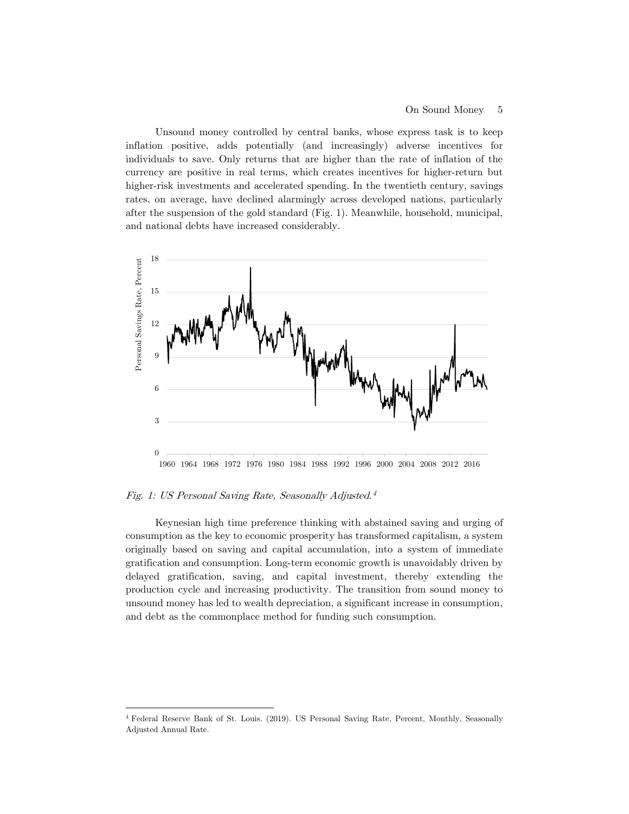Unsound money controlled by central banks, whose express task is to keep inflation positive, adds potentially (and increasingly) adverse incentives for individuals to save. Only returns that are higher than the rate of inflation of the currency are positive in real terms, which creates incentives for higher-return but higher-risk investments and accelerated spending. In the twentieth century, savings rates, on average, have declined alarmingly across developed nations, particularly after the suspension of the gold standard (Fig. 1). Meanwhile, household, municipal, and national debts have increased considerably.



Fig. 1: US Personal Saving Rate, Seasonally Adjusted.4

Keynesian high time preference thinking with abstained saving and urging of consumption as the key to economic prosperity has transformed capitalism, a system originally based on saving and capital accumulation, into a system of immediate gratification and consumption. Long-term economic growth is unavoidably driven by delayed gratification, saving, and capital investment, thereby extending the production cycle and increasing productivity. The transition from sound money to unsound money has led to wealth depreciation, a significant increase in consumption, and debt as the commonplace method for funding such consumption.

 <sup>4</sup> Federal Reserve Bank of St. Louis. (2019). US Personal Saving Rate, Percent, Monthly, Seasonally Adjusted Annual Rate.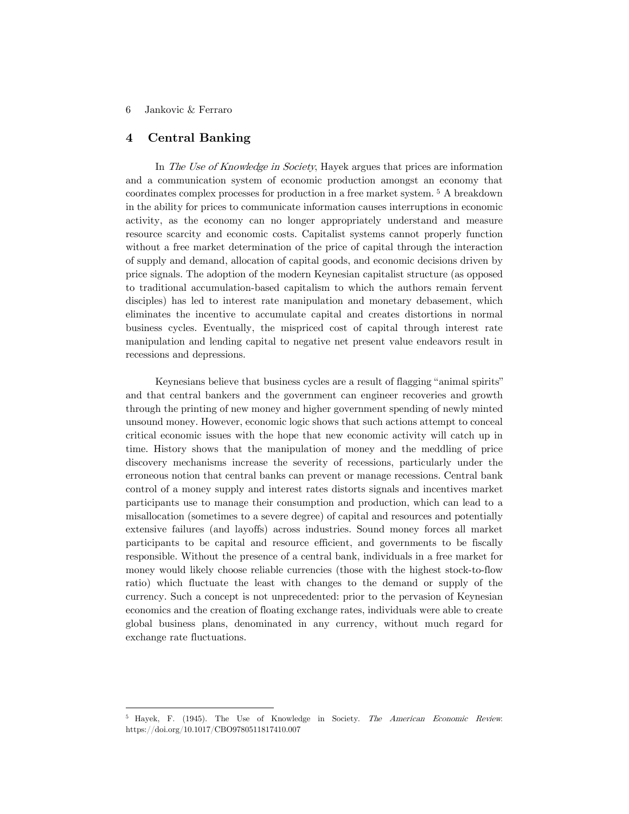#### 6 Jankovic & Ferraro

# **4 Central Banking**

In The Use of Knowledge in Society, Hayek argues that prices are information and a communication system of economic production amongst an economy that coordinates complex processes for production in a free market system. [5](#page-6-0) A breakdown in the ability for prices to communicate information causes interruptions in economic activity, as the economy can no longer appropriately understand and measure resource scarcity and economic costs. Capitalist systems cannot properly function without a free market determination of the price of capital through the interaction of supply and demand, allocation of capital goods, and economic decisions driven by price signals. The adoption of the modern Keynesian capitalist structure (as opposed to traditional accumulation-based capitalism to which the authors remain fervent disciples) has led to interest rate manipulation and monetary debasement, which eliminates the incentive to accumulate capital and creates distortions in normal business cycles. Eventually, the mispriced cost of capital through interest rate manipulation and lending capital to negative net present value endeavors result in recessions and depressions.

Keynesians believe that business cycles are a result of flagging "animal spirits" and that central bankers and the government can engineer recoveries and growth through the printing of new money and higher government spending of newly minted unsound money. However, economic logic shows that such actions attempt to conceal critical economic issues with the hope that new economic activity will catch up in time. History shows that the manipulation of money and the meddling of price discovery mechanisms increase the severity of recessions, particularly under the erroneous notion that central banks can prevent or manage recessions. Central bank control of a money supply and interest rates distorts signals and incentives market participants use to manage their consumption and production, which can lead to a misallocation (sometimes to a severe degree) of capital and resources and potentially extensive failures (and layoffs) across industries. Sound money forces all market participants to be capital and resource efficient, and governments to be fiscally responsible. Without the presence of a central bank, individuals in a free market for money would likely choose reliable currencies (those with the highest stock-to-flow ratio) which fluctuate the least with changes to the demand or supply of the currency. Such a concept is not unprecedented: prior to the pervasion of Keynesian economics and the creation of floating exchange rates, individuals were able to create global business plans, denominated in any currency, without much regard for exchange rate fluctuations.

<span id="page-6-0"></span> <sup>5</sup> Hayek, F. (1945). The Use of Knowledge in Society. The American Economic Review. https://doi.org/10.1017/CBO9780511817410.007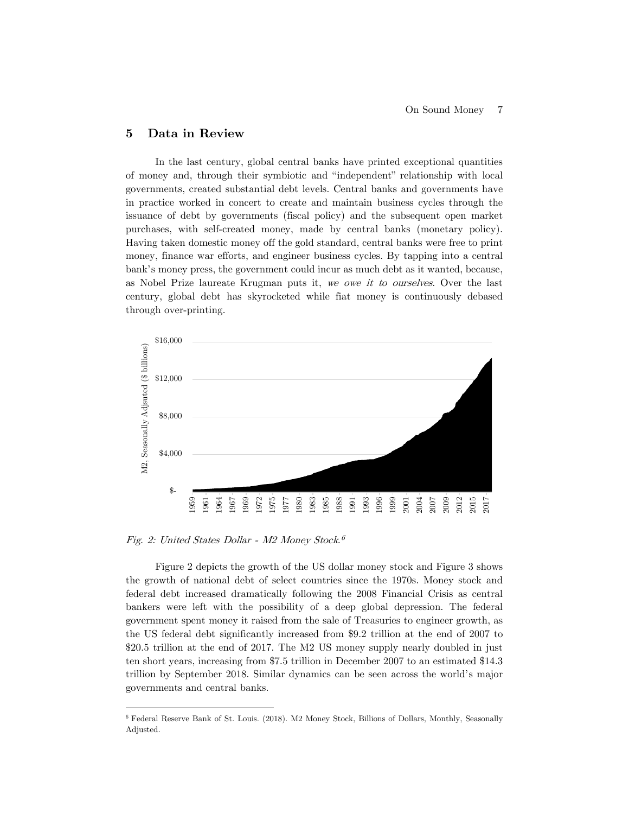## **5 Data in Review**

In the last century, global central banks have printed exceptional quantities of money and, through their symbiotic and "independent" relationship with local governments, created substantial debt levels. Central banks and governments have in practice worked in concert to create and maintain business cycles through the issuance of debt by governments (fiscal policy) and the subsequent open market purchases, with self-created money, made by central banks (monetary policy). Having taken domestic money off the gold standard, central banks were free to print money, finance war efforts, and engineer business cycles. By tapping into a central bank's money press, the government could incur as much debt as it wanted, because, as Nobel Prize laureate Krugman puts it, we owe it to ourselves. Over the last century, global debt has skyrocketed while fiat money is continuously debased through over-printing.



Fig. 2: United States Dollar - M2 Money Stock.[6](#page-7-0)

Figure 2 depicts the growth of the US dollar money stock and Figure 3 shows the growth of national debt of select countries since the 1970s. Money stock and federal debt increased dramatically following the 2008 Financial Crisis as central bankers were left with the possibility of a deep global depression. The federal government spent money it raised from the sale of Treasuries to engineer growth, as the US federal debt significantly increased from \$9.2 trillion at the end of 2007 to \$20.5 trillion at the end of 2017. The M2 US money supply nearly doubled in just ten short years, increasing from \$7.5 trillion in December 2007 to an estimated \$14.3 trillion by September 2018. Similar dynamics can be seen across the world's major governments and central banks.

<span id="page-7-0"></span> <sup>6</sup> Federal Reserve Bank of St. Louis. (2018). M2 Money Stock, Billions of Dollars, Monthly, Seasonally Adjusted.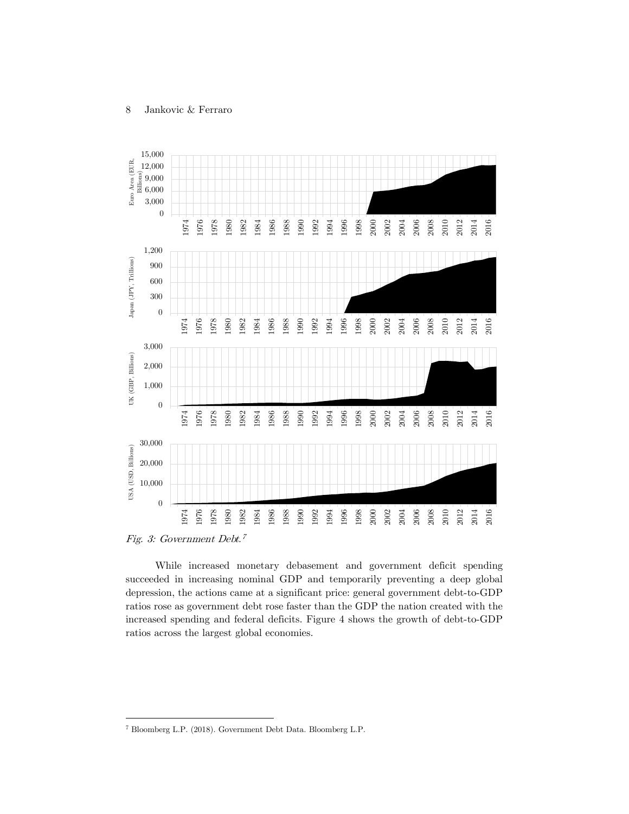

While increased monetary debasement and government deficit spending succeeded in increasing nominal GDP and temporarily preventing a deep global depression, the actions came at a significant price: general government debt-to-GDP ratios rose as government debt rose faster than the GDP the nation created with the increased spending and federal deficits. Figure 4 shows the growth of debt-to-GDP ratios across the largest global economies.

Bloomberg L.P. (2018). Government Debt Data. Bloomberg L.P.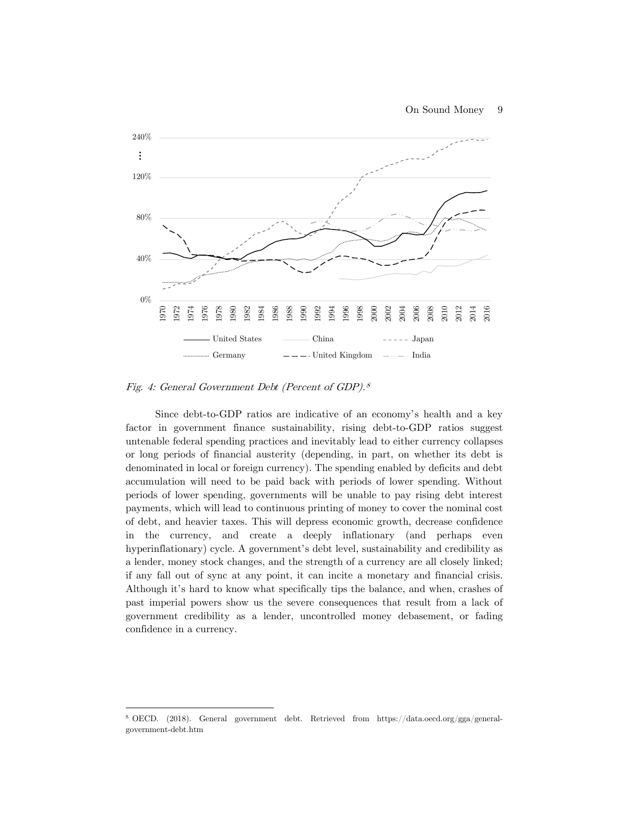

Fig. 4: General Government Debt (Percent of GDP).8

Since debt-to-GDP ratios are indicative of an economy's health and a key factor in government finance sustainability, rising debt-to-GDP ratios suggest untenable federal spending practices and inevitably lead to either currency collapses or long periods of financial austerity (depending, in part, on whether its debt is denominated in local or foreign currency). The spending enabled by deficits and debt accumulation will need to be paid back with periods of lower spending. Without periods of lower spending, governments will be unable to pay rising debt interest payments, which will lead to continuous printing of money to cover the nominal cost of debt, and heavier taxes. This will depress economic growth, decrease confidence in the currency, and create a deeply inflationary (and perhaps even hyperinflationary) cycle. A government's debt level, sustainability and credibility as a lender, money stock changes, and the strength of a currency are all closely linked; if any fall out of sync at any point, it can incite a monetary and financial crisis. Although it's hard to know what specifically tips the balance, and when, crashes of past imperial powers show us the severe consequences that result from a lack of government credibility as a lender, uncontrolled money debasement, or fading confidence in a currency.

<span id="page-9-0"></span> <sup>8</sup> OECD. (2018). General government debt. Retrieved from https://data.oecd.org/gga/generalgovernment-debt.htm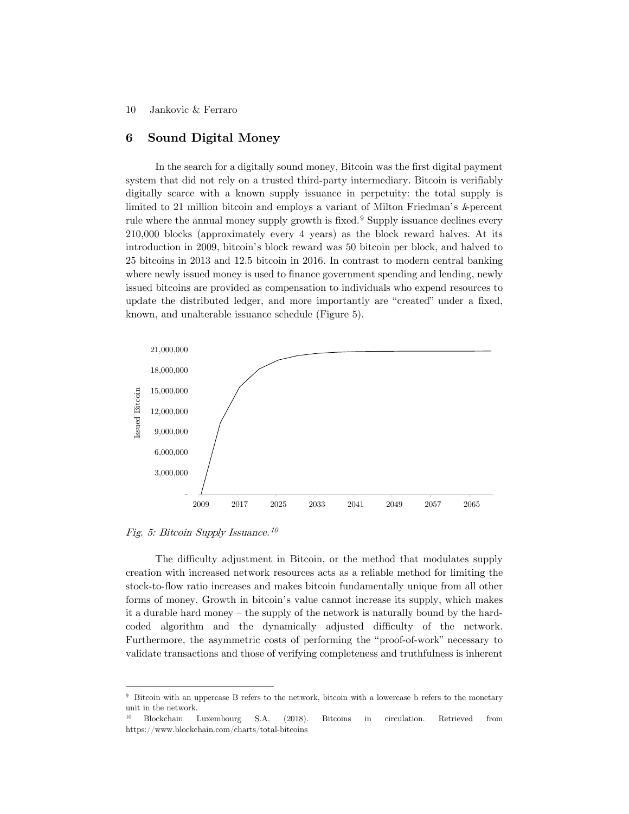#### 10 Jankovic & Ferraro

### **6 Sound Digital Money**

In the search for a digitally sound money, Bitcoin was the first digital payment system that did not rely on a trusted third-party intermediary. Bitcoin is verifiably digitally scarce with a known supply issuance in perpetuity: the total supply is limited to 21 million bitcoin and employs a variant of Milton Friedman's *k*-percent rule where the annual money supply growth is fixed.<sup>[9](#page-10-0)</sup> Supply issuance declines every 210,000 blocks (approximately every 4 years) as the block reward halves. At its introduction in 2009, bitcoin's block reward was 50 bitcoin per block, and halved to 25 bitcoins in 2013 and 12.5 bitcoin in 2016. In contrast to modern central banking where newly issued money is used to finance government spending and lending, newly issued bitcoins are provided as compensation to individuals who expend resources to update the distributed ledger, and more importantly are "created" under a fixed, known, and unalterable issuance schedule (Figure 5).



Fig. 5: Bitcoin Supply Issuance.[10](#page-10-1)

The difficulty adjustment in Bitcoin, or the method that modulates supply creation with increased network resources acts as a reliable method for limiting the stock-to-flow ratio increases and makes bitcoin fundamentally unique from all other forms of money. Growth in bitcoin's value cannot increase its supply, which makes it a durable hard money – the supply of the network is naturally bound by the hardcoded algorithm and the dynamically adjusted difficulty of the network. Furthermore, the asymmetric costs of performing the "proof-of-work" necessary to validate transactions and those of verifying completeness and truthfulness is inherent

<span id="page-10-0"></span> <sup>9</sup> Bitcoin with an uppercase B refers to the network, bitcoin with a lowercase b refers to the monetary unit in the network.

<span id="page-10-1"></span><sup>10</sup> Blockchain Luxembourg S.A. (2018). Bitcoins in circulation. Retrieved from https://www.blockchain.com/charts/total-bitcoins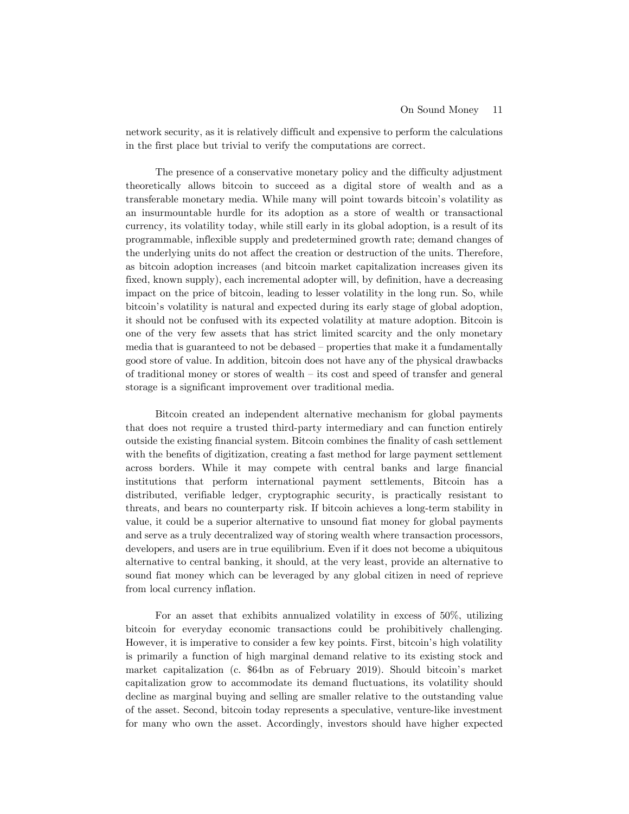network security, as it is relatively difficult and expensive to perform the calculations in the first place but trivial to verify the computations are correct.

The presence of a conservative monetary policy and the difficulty adjustment theoretically allows bitcoin to succeed as a digital store of wealth and as a transferable monetary media. While many will point towards bitcoin's volatility as an insurmountable hurdle for its adoption as a store of wealth or transactional currency, its volatility today, while still early in its global adoption, is a result of its programmable, inflexible supply and predetermined growth rate; demand changes of the underlying units do not affect the creation or destruction of the units. Therefore, as bitcoin adoption increases (and bitcoin market capitalization increases given its fixed, known supply), each incremental adopter will, by definition, have a decreasing impact on the price of bitcoin, leading to lesser volatility in the long run. So, while bitcoin's volatility is natural and expected during its early stage of global adoption, it should not be confused with its expected volatility at mature adoption. Bitcoin is one of the very few assets that has strict limited scarcity and the only monetary media that is guaranteed to not be debased – properties that make it a fundamentally good store of value. In addition, bitcoin does not have any of the physical drawbacks of traditional money or stores of wealth – its cost and speed of transfer and general storage is a significant improvement over traditional media.

Bitcoin created an independent alternative mechanism for global payments that does not require a trusted third-party intermediary and can function entirely outside the existing financial system. Bitcoin combines the finality of cash settlement with the benefits of digitization, creating a fast method for large payment settlement across borders. While it may compete with central banks and large financial institutions that perform international payment settlements, Bitcoin has a distributed, verifiable ledger, cryptographic security, is practically resistant to threats, and bears no counterparty risk. If bitcoin achieves a long-term stability in value, it could be a superior alternative to unsound fiat money for global payments and serve as a truly decentralized way of storing wealth where transaction processors, developers, and users are in true equilibrium. Even if it does not become a ubiquitous alternative to central banking, it should, at the very least, provide an alternative to sound fiat money which can be leveraged by any global citizen in need of reprieve from local currency inflation.

For an asset that exhibits annualized volatility in excess of 50%, utilizing bitcoin for everyday economic transactions could be prohibitively challenging. However, it is imperative to consider a few key points. First, bitcoin's high volatility is primarily a function of high marginal demand relative to its existing stock and market capitalization (c. \$64bn as of February 2019). Should bitcoin's market capitalization grow to accommodate its demand fluctuations, its volatility should decline as marginal buying and selling are smaller relative to the outstanding value of the asset. Second, bitcoin today represents a speculative, venture-like investment for many who own the asset. Accordingly, investors should have higher expected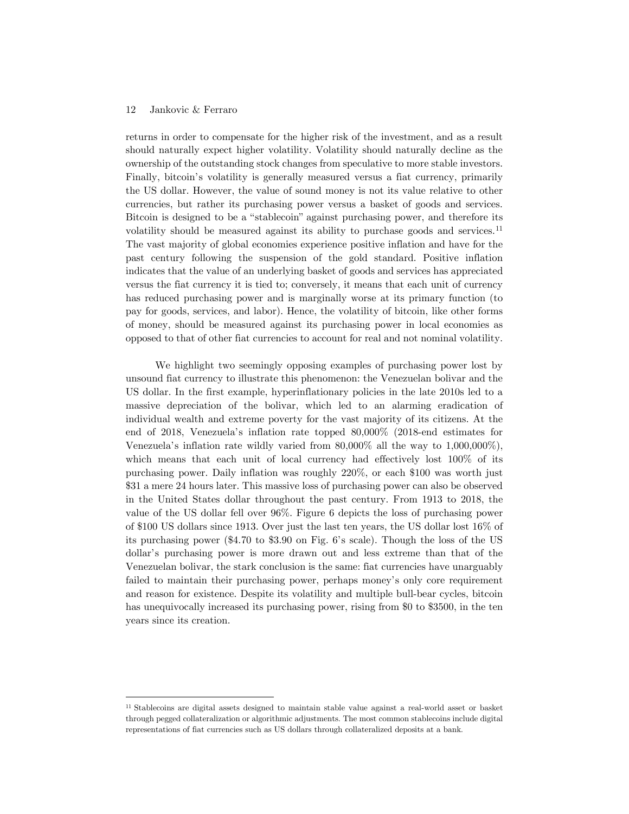#### 12 Jankovic & Ferraro

returns in order to compensate for the higher risk of the investment, and as a result should naturally expect higher volatility. Volatility should naturally decline as the ownership of the outstanding stock changes from speculative to more stable investors. Finally, bitcoin's volatility is generally measured versus a fiat currency, primarily the US dollar. However, the value of sound money is not its value relative to other currencies, but rather its purchasing power versus a basket of goods and services. Bitcoin is designed to be a "stablecoin" against purchasing power, and therefore its volatility should be measured against its ability to purchase goods and services.[11](#page-12-0) The vast majority of global economies experience positive inflation and have for the past century following the suspension of the gold standard. Positive inflation indicates that the value of an underlying basket of goods and services has appreciated versus the fiat currency it is tied to; conversely, it means that each unit of currency has reduced purchasing power and is marginally worse at its primary function (to pay for goods, services, and labor). Hence, the volatility of bitcoin, like other forms of money, should be measured against its purchasing power in local economies as opposed to that of other fiat currencies to account for real and not nominal volatility.

We highlight two seemingly opposing examples of purchasing power lost by unsound fiat currency to illustrate this phenomenon: the Venezuelan bolivar and the US dollar. In the first example, hyperinflationary policies in the late 2010s led to a massive depreciation of the bolivar, which led to an alarming eradication of individual wealth and extreme poverty for the vast majority of its citizens. At the end of 2018, Venezuela's inflation rate topped 80,000% (2018-end estimates for Venezuela's inflation rate wildly varied from 80,000% all the way to 1,000,000%), which means that each unit of local currency had effectively lost 100% of its purchasing power. Daily inflation was roughly 220%, or each \$100 was worth just \$31 a mere 24 hours later. This massive loss of purchasing power can also be observed in the United States dollar throughout the past century. From 1913 to 2018, the value of the US dollar fell over 96%. Figure 6 depicts the loss of purchasing power of \$100 US dollars since 1913. Over just the last ten years, the US dollar lost 16% of its purchasing power (\$4.70 to \$3.90 on Fig. 6's scale). Though the loss of the US dollar's purchasing power is more drawn out and less extreme than that of the Venezuelan bolivar, the stark conclusion is the same: fiat currencies have unarguably failed to maintain their purchasing power, perhaps money's only core requirement and reason for existence. Despite its volatility and multiple bull-bear cycles, bitcoin has unequivocally increased its purchasing power, rising from \$0 to \$3500, in the ten years since its creation.

<span id="page-12-0"></span> <sup>11</sup> Stablecoins are digital assets designed to maintain stable value against a real-world asset or basket through pegged collateralization or algorithmic adjustments. The most common stablecoins include digital representations of fiat currencies such as US dollars through collateralized deposits at a bank.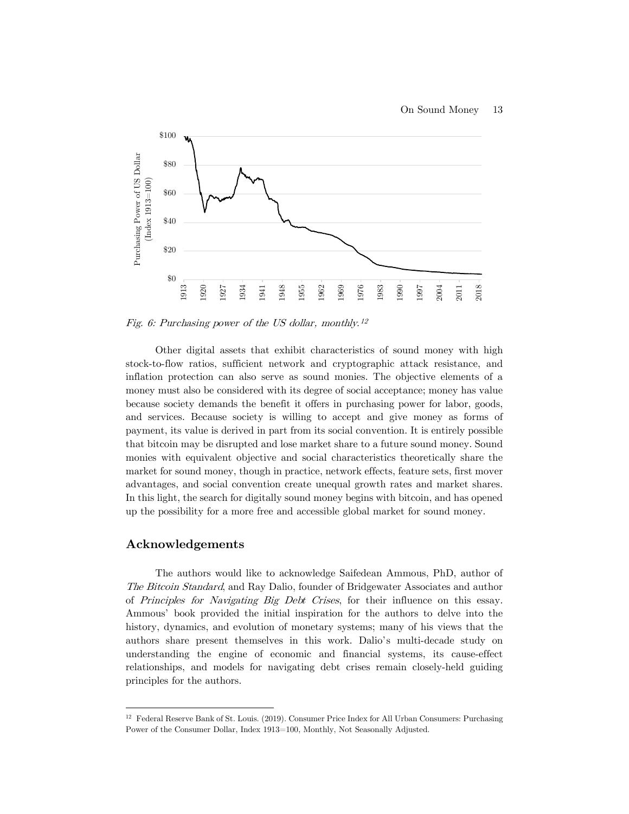

Fig. 6: Purchasing power of the US dollar, monthly.<sup>[12](#page-13-0)</sup>

Other digital assets that exhibit characteristics of sound money with high stock-to-flow ratios, sufficient network and cryptographic attack resistance, and inflation protection can also serve as sound monies. The objective elements of a money must also be considered with its degree of social acceptance; money has value because society demands the benefit it offers in purchasing power for labor, goods, and services. Because society is willing to accept and give money as forms of payment, its value is derived in part from its social convention. It is entirely possible that bitcoin may be disrupted and lose market share to a future sound money. Sound monies with equivalent objective and social characteristics theoretically share the market for sound money, though in practice, network effects, feature sets, first mover advantages, and social convention create unequal growth rates and market shares. In this light, the search for digitally sound money begins with bitcoin, and has opened up the possibility for a more free and accessible global market for sound money.

#### **Acknowledgements**

The authors would like to acknowledge Saifedean Ammous, PhD, author of The Bitcoin Standard, and Ray Dalio, founder of Bridgewater Associates and author of Principles for Navigating Big Debt Crises, for their influence on this essay. Ammous' book provided the initial inspiration for the authors to delve into the history, dynamics, and evolution of monetary systems; many of his views that the authors share present themselves in this work. Dalio's multi-decade study on understanding the engine of economic and financial systems, its cause-effect relationships, and models for navigating debt crises remain closely-held guiding principles for the authors.

<span id="page-13-0"></span> <sup>12</sup> Federal Reserve Bank of St. Louis. (2019). Consumer Price Index for All Urban Consumers: Purchasing Power of the Consumer Dollar, Index 1913=100, Monthly, Not Seasonally Adjusted.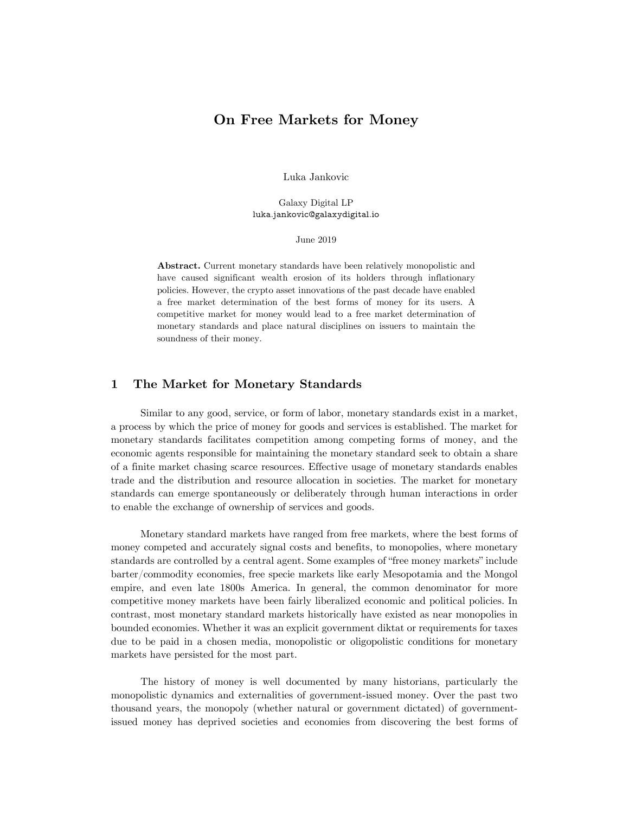# **On Free Markets for Money**

Luka Jankovic

Galaxy Digital LP luka.jankovic@galaxydigital.io

June 2019

**Abstract.** Current monetary standards have been relatively monopolistic and have caused significant wealth erosion of its holders through inflationary policies. However, the crypto asset innovations of the past decade have enabled a free market determination of the best forms of money for its users. A competitive market for money would lead to a free market determination of monetary standards and place natural disciplines on issuers to maintain the soundness of their money.

# **1 The Market for Monetary Standards**

Similar to any good, service, or form of labor, monetary standards exist in a market, a process by which the price of money for goods and services is established. The market for monetary standards facilitates competition among competing forms of money, and the economic agents responsible for maintaining the monetary standard seek to obtain a share of a finite market chasing scarce resources. Effective usage of monetary standards enables trade and the distribution and resource allocation in societies. The market for monetary standards can emerge spontaneously or deliberately through human interactions in order to enable the exchange of ownership of services and goods.

Monetary standard markets have ranged from free markets, where the best forms of money competed and accurately signal costs and benefits, to monopolies, where monetary standards are controlled by a central agent. Some examples of "free money markets" include barter/commodity economies, free specie markets like early Mesopotamia and the Mongol empire, and even late 1800s America. In general, the common denominator for more competitive money markets have been fairly liberalized economic and political policies. In contrast, most monetary standard markets historically have existed as near monopolies in bounded economies. Whether it was an explicit government diktat or requirements for taxes due to be paid in a chosen media, monopolistic or oligopolistic conditions for monetary markets have persisted for the most part.

The history of money is well documented by many historians, particularly the monopolistic dynamics and externalities of government-issued money. Over the past two thousand years, the monopoly (whether natural or government dictated) of governmentissued money has deprived societies and economies from discovering the best forms of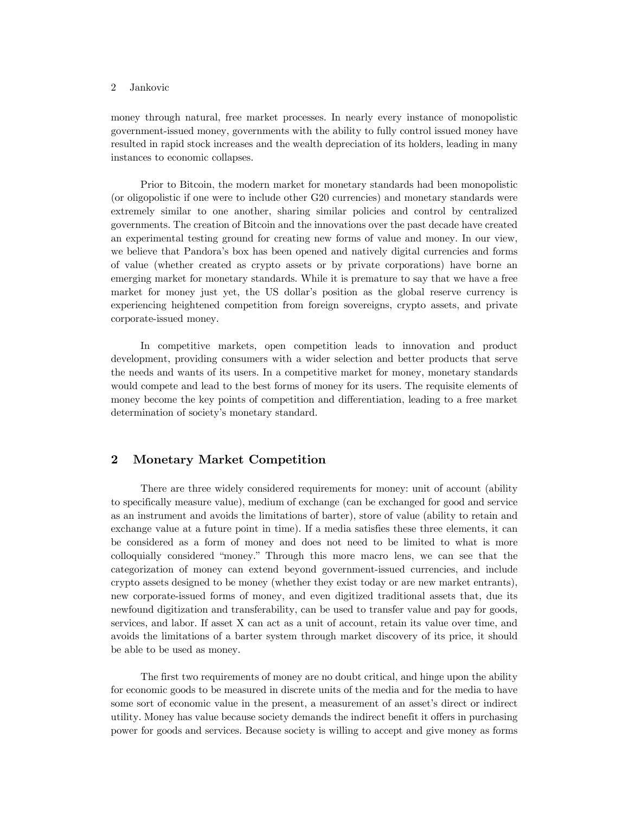money through natural, free market processes. In nearly every instance of monopolistic government-issued money, governments with the ability to fully control issued money have resulted in rapid stock increases and the wealth depreciation of its holders, leading in many instances to economic collapses.

Prior to Bitcoin, the modern market for monetary standards had been monopolistic (or oligopolistic if one were to include other G20 currencies) and monetary standards were extremely similar to one another, sharing similar policies and control by centralized governments. The creation of Bitcoin and the innovations over the past decade have created an experimental testing ground for creating new forms of value and money. In our view, we believe that Pandora's box has been opened and natively digital currencies and forms of value (whether created as crypto assets or by private corporations) have borne an emerging market for monetary standards. While it is premature to say that we have a free market for money just yet, the US dollar's position as the global reserve currency is experiencing heightened competition from foreign sovereigns, crypto assets, and private corporate-issued money.

In competitive markets, open competition leads to innovation and product development, providing consumers with a wider selection and better products that serve the needs and wants of its users. In a competitive market for money, monetary standards would compete and lead to the best forms of money for its users. The requisite elements of money become the key points of competition and differentiation, leading to a free market determination of society's monetary standard.

### **2 Monetary Market Competition**

There are three widely considered requirements for money: unit of account (ability to specifically measure value), medium of exchange (can be exchanged for good and service as an instrument and avoids the limitations of barter), store of value (ability to retain and exchange value at a future point in time). If a media satisfies these three elements, it can be considered as a form of money and does not need to be limited to what is more colloquially considered "money." Through this more macro lens, we can see that the categorization of money can extend beyond government-issued currencies, and include crypto assets designed to be money (whether they exist today or are new market entrants), new corporate-issued forms of money, and even digitized traditional assets that, due its newfound digitization and transferability, can be used to transfer value and pay for goods, services, and labor. If asset X can act as a unit of account, retain its value over time, and avoids the limitations of a barter system through market discovery of its price, it should be able to be used as money.

The first two requirements of money are no doubt critical, and hinge upon the ability for economic goods to be measured in discrete units of the media and for the media to have some sort of economic value in the present, a measurement of an asset's direct or indirect utility. Money has value because society demands the indirect benefit it offers in purchasing power for goods and services. Because society is willing to accept and give money as forms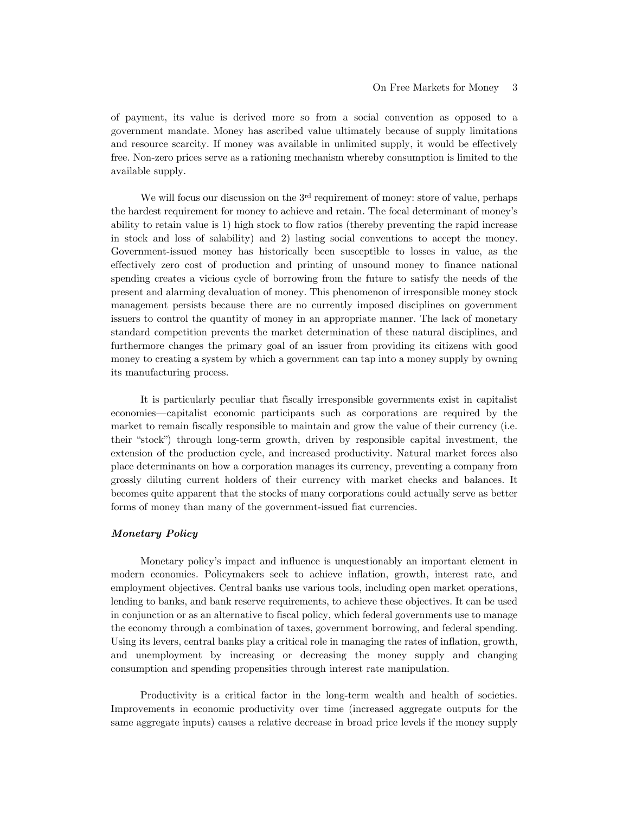of payment, its value is derived more so from a social convention as opposed to a government mandate. Money has ascribed value ultimately because of supply limitations and resource scarcity. If money was available in unlimited supply, it would be effectively free. Non-zero prices serve as a rationing mechanism whereby consumption is limited to the available supply.

We will focus our discussion on the 3<sup>rd</sup> requirement of money: store of value, perhaps the hardest requirement for money to achieve and retain. The focal determinant of money's ability to retain value is 1) high stock to flow ratios (thereby preventing the rapid increase in stock and loss of salability) and 2) lasting social conventions to accept the money. Government-issued money has historically been susceptible to losses in value, as the effectively zero cost of production and printing of unsound money to finance national spending creates a vicious cycle of borrowing from the future to satisfy the needs of the present and alarming devaluation of money. This phenomenon of irresponsible money stock management persists because there are no currently imposed disciplines on government issuers to control the quantity of money in an appropriate manner. The lack of monetary standard competition prevents the market determination of these natural disciplines, and furthermore changes the primary goal of an issuer from providing its citizens with good money to creating a system by which a government can tap into a money supply by owning its manufacturing process.

It is particularly peculiar that fiscally irresponsible governments exist in capitalist economies — capitalist economic participants such as corporations are required by the market to remain fiscally responsible to maintain and grow the value of their currency (i.e. their "stock") through long-term growth, driven by responsible capital investment, the extension of the production cycle, and increased productivity. Natural market forces also place determinants on how a corporation manages its currency, preventing a company from grossly diluting current holders of their currency with market checks and balances. It becomes quite apparent that the stocks of many corporations could actually serve as better forms of money than many of the government-issued fiat currencies.

#### *Monetary Policy*

Monetary policy's impact and influence is unquestionably an important element in modern economies. Policymakers seek to achieve inflation, growth, interest rate, and employment objectives. Central banks use various tools, including open market operations, lending to banks, and bank reserve requirements, to achieve these objectives. It can be used in conjunction or as an alternative to fiscal policy, which federal governments use to manage the economy through a combination of taxes, government borrowing, and federal spending. Using its levers, central banks play a critical role in managing the rates of inflation, growth, and unemployment by increasing or decreasing the money supply and changing consumption and spending propensities through interest rate manipulation.

Productivity is a critical factor in the long-term wealth and health of societies. Improvements in economic productivity over time (increased aggregate outputs for the same aggregate inputs) causes a relative decrease in broad price levels if the money supply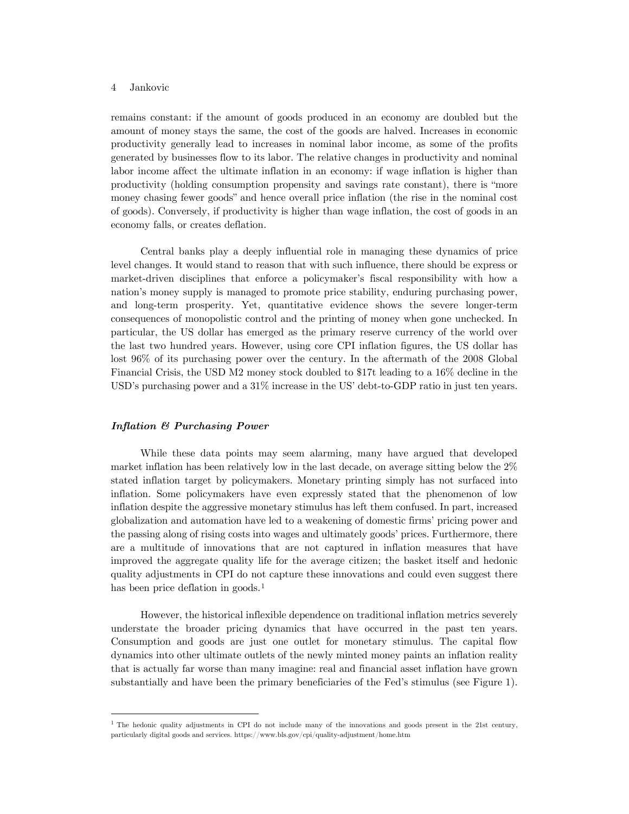remains constant: if the amount of goods produced in an economy are doubled but the amount of money stays the same, the cost of the goods are halved. Increases in economic productivity generally lead to increases in nominal labor income, as some of the profits generated by businesses flow to its labor. The relative changes in productivity and nominal labor income affect the ultimate inflation in an economy: if wage inflation is higher than productivity (holding consumption propensity and savings rate constant), there is "more money chasing fewer goods" and hence overall price inflation (the rise in the nominal cost of goods). Conversely, if productivity is higher than wage inflation, the cost of goods in an economy falls, or creates deflation.

Central banks play a deeply influential role in managing these dynamics of price level changes. It would stand to reason that with such influence, there should be express or market-driven disciplines that enforce a policymaker's fiscal responsibility with how a nation's money supply is managed to promote price stability, enduring purchasing power, and long-term prosperity. Yet, quantitative evidence shows the severe longer-term consequences of monopolistic control and the printing of money when gone unchecked. In particular, the US dollar has emerged as the primary reserve currency of the world over the last two hundred years. However, using core CPI inflation figures, the US dollar has lost 96% of its purchasing power over the century. In the aftermath of the 2008 Global Financial Crisis, the USD M2 money stock doubled to \$17t leading to a 16% decline in the USD's purchasing power and a 31% increase in the US' debt-to-GDP ratio in just ten years.

#### *Inflation & Purchasing Power*

While these data points may seem alarming, many have argued that developed market inflation has been relatively low in the last decade, on average sitting below the 2% stated inflation target by policymakers. Monetary printing simply has not surfaced into inflation. Some policymakers have even expressly stated that the phenomenon of low inflation despite the aggressive monetary stimulus has left them confused. In part, increased globalization and automation have led to a weakening of domestic firms' pricing power and the passing along of rising costs into wages and ultimately goods' prices. Furthermore, there are a multitude of innovations that are not captured in inflation measures that have improved the aggregate quality life for the average citizen; the basket itself and hedonic quality adjustments in CPI do not capture these innovations and could even suggest there has been price deflation in goods.<sup>[1](#page-17-0)</sup>

However, the historical inflexible dependence on traditional inflation metrics severely understate the broader pricing dynamics that have occurred in the past ten years. Consumption and goods are just one outlet for monetary stimulus. The capital flow dynamics into other ultimate outlets of the newly minted money paints an inflation reality that is actually far worse than many imagine: real and financial asset inflation have grown substantially and have been the primary beneficiaries of the Fed's stimulus (see Figure 1).

<span id="page-17-0"></span><sup>1</sup> The hedonic quality adjustments in CPI do not include many of the innovations and goods present in the 21st century, particularly digital goods and services. https://www.bls.gov/cpi/quality-adjustment/home.htm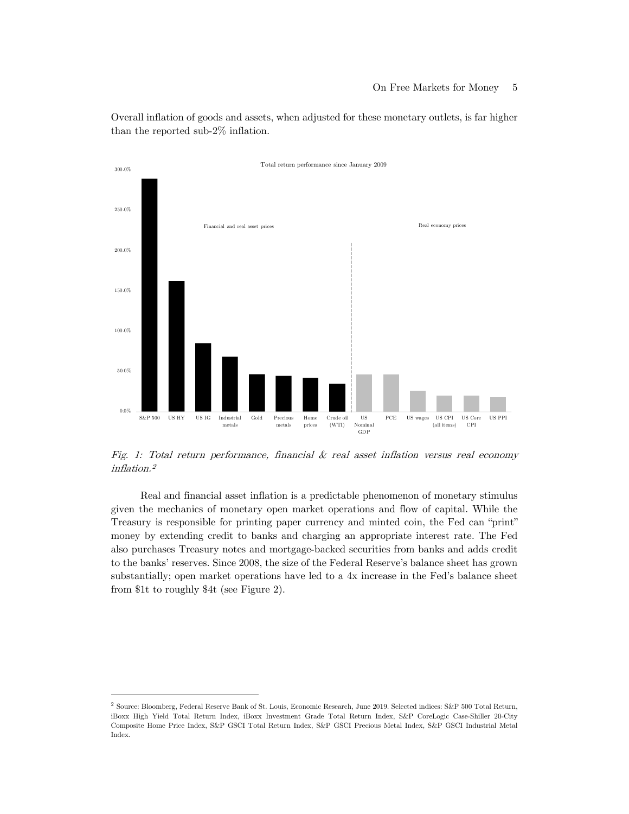50.0% 100.0% 150.0% 200.0% 250.0% 300.0% Total return performance since January 2009 Financial and real asset prices Real economy prices

Overall inflation of goods and assets, when adjusted for these monetary outlets, is far higher than the reported sub-2% inflation.

Fig. 1: Total return performance, financial & real asset inflation versus real economy inflation. [2](#page-18-0)

Real and financial asset inflation is a predictable phenomenon of monetary stimulus given the mechanics of monetary open market operations and flow of capital. While the Treasury is responsible for printing paper currency and minted coin, the Fed can "print" money by extending credit to banks and charging an appropriate interest rate. The Fed also purchases Treasury notes and mortgage-backed securities from banks and adds credit to the banks' reserves. Since 2008, the size of the Federal Reserve's balance sheet has grown substantially; open market operations have led to a 4x increase in the Fed's balance sheet from \$1t to roughly \$4t (see Figure 2).



<span id="page-18-0"></span><sup>2</sup> Source: Bloomberg, Federal Reserve Bank of St. Louis, Economic Research, June 2019. Selected indices: S&P 500 Total Return, iBoxx High Yield Total Return Index, iBoxx Investment Grade Total Return Index, S&P CoreLogic Case-Shiller 20-City Composite Home Price Index, S&P GSCI Total Return Index, S&P GSCI Precious Metal Index, S&P GSCI Industrial Metal Index.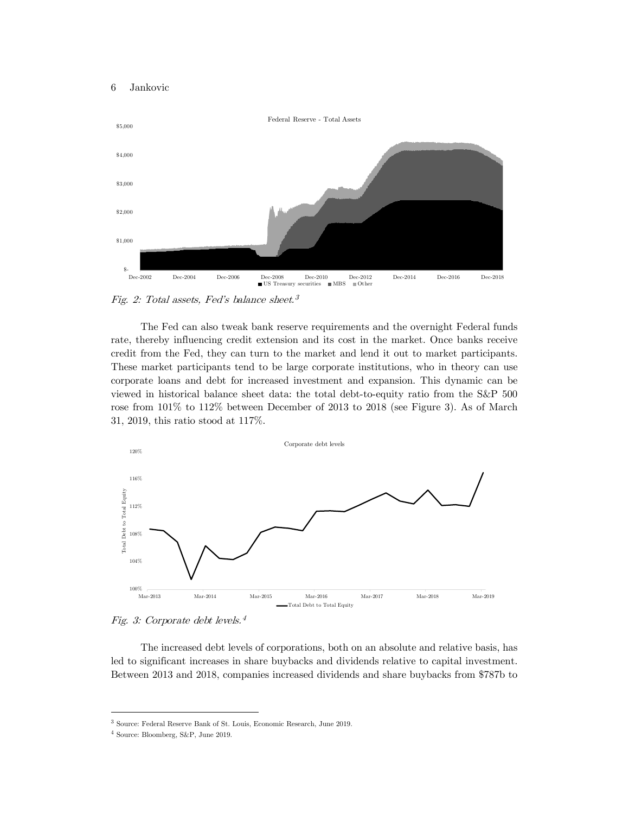

Fig. 2: Total assets, Fed's balance sheet. [3](#page-19-0)

The Fed can also tweak bank reserve requirements and the overnight Federal funds rate, thereby influencing credit extension and its cost in the market. Once banks receive credit from the Fed, they can turn to the market and lend it out to market participants. These market participants tend to be large corporate institutions, who in theory can use corporate loans and debt for increased investment and expansion. This dynamic can be viewed in historical balance sheet data: the total debt-to-equity ratio from the S&P 500 rose from  $101\%$  to  $112\%$  between December of 2013 to 2018 (see Figure 3). As of March 31, 2019, this ratio stood at 117%.



Fig. 3: Corporate debt levels. 4

The increased debt levels of corporations, both on an absolute and relative basis, has led to significant increases in share buybacks and dividends relative to capital investment. Between 2013 and 2018, companies increased dividends and share buybacks from \$787b to

<span id="page-19-0"></span><sup>3</sup> Source: Federal Reserve Bank of St. Louis, Economic Research, June 2019.

<sup>4</sup> Source: Bloomberg, S&P, June 2019.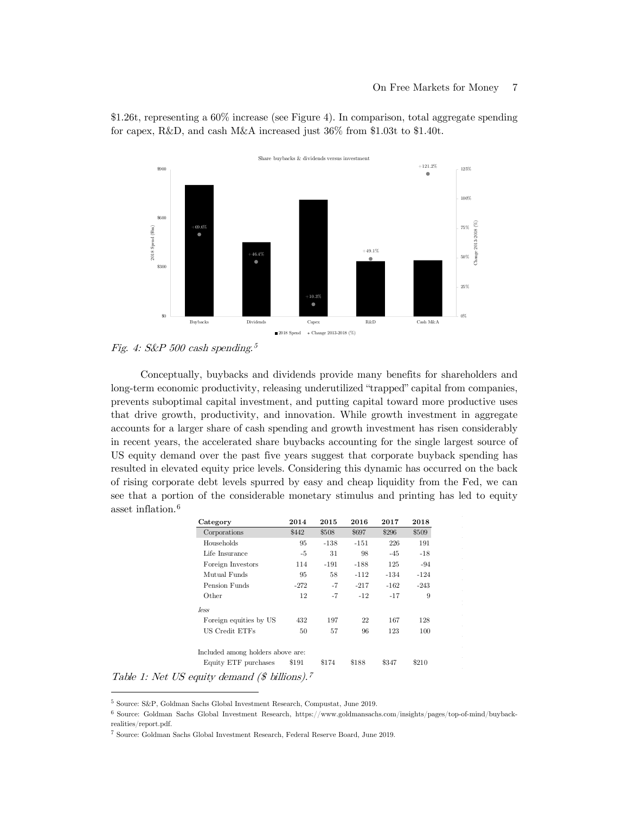

\$1.26t, representing a 60% increase (see Figure 4). In comparison, total aggregate spending for capex, R&D, and cash M&A increased just 36% from \$1.03t to \$1.40t.

Fig. 4: S&P 500 cash spending. [5](#page-20-0)

Conceptually, buybacks and dividends provide many benefits for shareholders and long-term economic productivity, releasing underutilized "trapped" capital from companies, prevents suboptimal capital investment, and putting capital toward more productive uses that drive growth, productivity, and innovation. While growth investment in aggregate accounts for a larger share of cash spending and growth investment has risen considerably in recent years, the accelerated share buybacks accounting for the single largest source of US equity demand over the past five years suggest that corporate buyback spending has resulted in elevated equity price levels. Considering this dynamic has occurred on the back of rising corporate debt levels spurred by easy and cheap liquidity from the Fed, we can see that a portion of the considerable monetary stimulus and printing has led to equity asset inflation.[6](#page-20-1)

| Category                                 | 2014   | 2015   | 2016   | 2017   | 2018   |
|------------------------------------------|--------|--------|--------|--------|--------|
| Corporations                             | \$442  | \$508  | \$697  | \$296  | \$509  |
| Households                               | 95     | $-138$ | $-151$ | 226    | 191    |
| Life Insurance                           | -5     | 31     | 98     | $-45$  | $-18$  |
| Foreign Investors                        | 114    | $-191$ | $-188$ | 125    | $-94$  |
| Mutual Funds                             | 95     | 58     | $-112$ | $-134$ | $-124$ |
| Pension Funds                            | $-272$ | $-7$   | $-217$ | $-162$ | $-243$ |
| Other                                    | 12     | -7     | $-12$  | $-17$  | 9      |
| less                                     |        |        |        |        |        |
| Foreign equities by US                   | 432    | 197    | 22     | 167    | 128    |
| US Credit ETFs                           | 50     | 57     | 96     | 123    | 100    |
| Included among holders above are:        |        |        |        |        |        |
| Equity ETF purchases                     | \$191  | \$174  | \$188  | \$347  | \$210  |
| auity demand (\$ billions). <sup>7</sup> |        |        |        |        |        |

Table 1: Net US equity

<span id="page-20-0"></span><sup>5</sup> Source: S&P, Goldman Sachs Global Investment Research, Compustat, June 2019.

<span id="page-20-1"></span><sup>6</sup> Source: Goldman Sachs Global Investment Research, https://www.goldmansachs.com/insights/pages/top-of-mind/buybackrealities/report.pdf.

<sup>7</sup> Source: Goldman Sachs Global Investment Research, Federal Reserve Board, June 2019.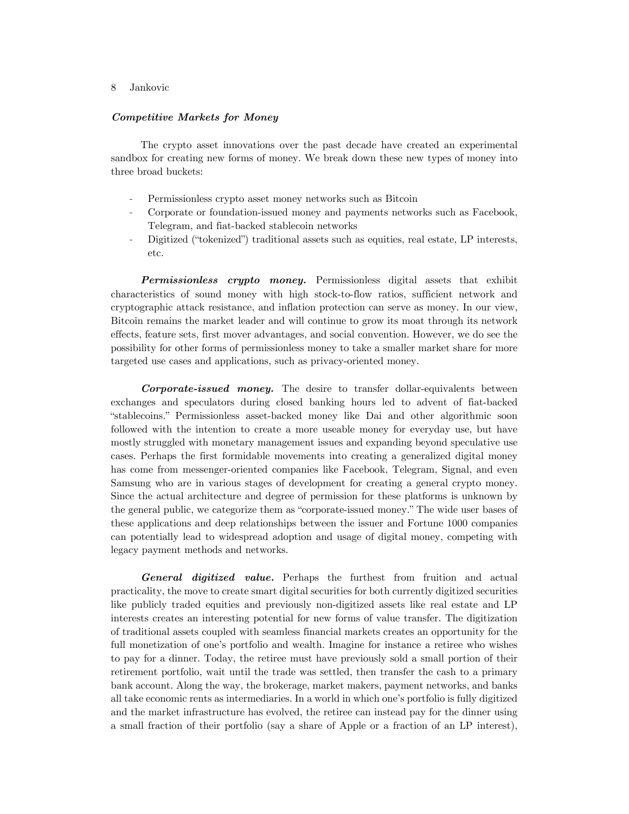#### *Competitive Markets for Money*

The crypto asset innovations over the past decade have created an experimental sandbox for creating new forms of money. We break down these new types of money into three broad buckets:

- Permissionless crypto asset money networks such as Bitcoin
- Corporate or foundation-issued money and payments networks such as Facebook, Telegram, and fiat-backed stablecoin networks
- Digitized ("tokenized") traditional assets such as equities, real estate, LP interests, etc.

*Permissionless crypto money.* Permissionless digital assets that exhibit characteristics of sound money with high stock-to-flow ratios, sufficient network and cryptographic attack resistance, and inflation protection can serve as money. In our view, Bitcoin remains the market leader and will continue to grow its moat through its network effects, feature sets, first mover advantages, and social convention. However, we do see the possibility for other forms of permissionless money to take a smaller market share for more targeted use cases and applications, such as privacy-oriented money.

*Corporate-issued money.* The desire to transfer dollar-equivalents between exchanges and speculators during closed banking hours led to advent of fiat-backed "stablecoins." Permissionless asset-backed money like Dai and other algorithmic soon followed with the intention to create a more useable money for everyday use, but have mostly struggled with monetary management issues and expanding beyond speculative use cases. Perhaps the first formidable movements into creating a generalized digital money has come from messenger-oriented companies like Facebook, Telegram, Signal, and even Samsung who are in various stages of development for creating a general crypto money. Since the actual architecture and degree of permission for these platforms is unknown by the general public, we categorize them as "corporate-issued money." The wide user bases of these applications and deep relationships between the issuer and Fortune 1000 companies can potentially lead to widespread adoption and usage of digital money, competing with legacy payment methods and networks.

*General digitized value.* Perhaps the furthest from fruition and actual practicality, the move to create smart digital securities for both currently digitized securities like publicly traded equities and previously non-digitized assets like real estate and LP interests creates an interesting potential for new forms of value transfer. The digitization of traditional assets coupled with seamless financial markets creates an opportunity for the full monetization of one's portfolio and wealth. Imagine for instance a retiree who wishes to pay for a dinner. Today, the retiree must have previously sold a small portion of their retirement portfolio, wait until the trade was settled, then transfer the cash to a primary bank account. Along the way, the brokerage, market makers, payment networks, and banks all take economic rents as intermediaries. In a world in which one's portfolio is fully digitized and the market infrastructure has evolved, the retiree can instead pay for the dinner using a small fraction of their portfolio (say a share of Apple or a fraction of an LP interest),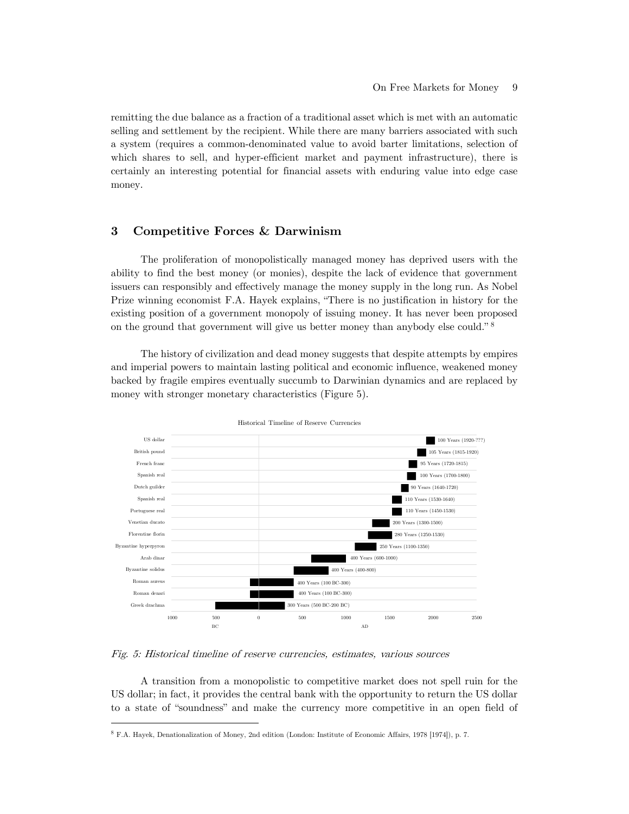remitting the due balance as a fraction of a traditional asset which is met with an automatic selling and settlement by the recipient. While there are many barriers associated with such a system (requires a common-denominated value to avoid barter limitations, selection of which shares to sell, and hyper-efficient market and payment infrastructure), there is certainly an interesting potential for financial assets with enduring value into edge case money.

# **3 Competitive Forces & Darwinism**

The proliferation of monopolistically managed money has deprived users with the ability to find the best money (or monies), despite the lack of evidence that government issuers can responsibly and effectively manage the money supply in the long run. As Nobel Prize winning economist F.A. Hayek explains, "There is no justification in history for the existing position of a government monopoly of issuing money. It has never been proposed on the ground that government will give us better money than anybody else could." [8](#page-22-0)

The history of civilization and dead money suggests that despite attempts by empires and imperial powers to maintain lasting political and economic influence, weakened money backed by fragile empires eventually succumb to Darwinian dynamics and are replaced by money with stronger monetary characteristics (Figure 5).



Historical Timeline of Reserve Currencies

Fig. 5: Historical timeline of reserve currencies, estimates, various sources

A transition from a monopolistic to competitive market does not spell ruin for the US dollar; in fact, it provides the central bank with the opportunity to return the US dollar to a state of "soundness" and make the currency more competitive in an open field of

<span id="page-22-0"></span><sup>8</sup> F.A. Hayek, Denationalization of Money, 2nd edition (London: Institute of Economic Affairs, 1978 [1974]), p. 7.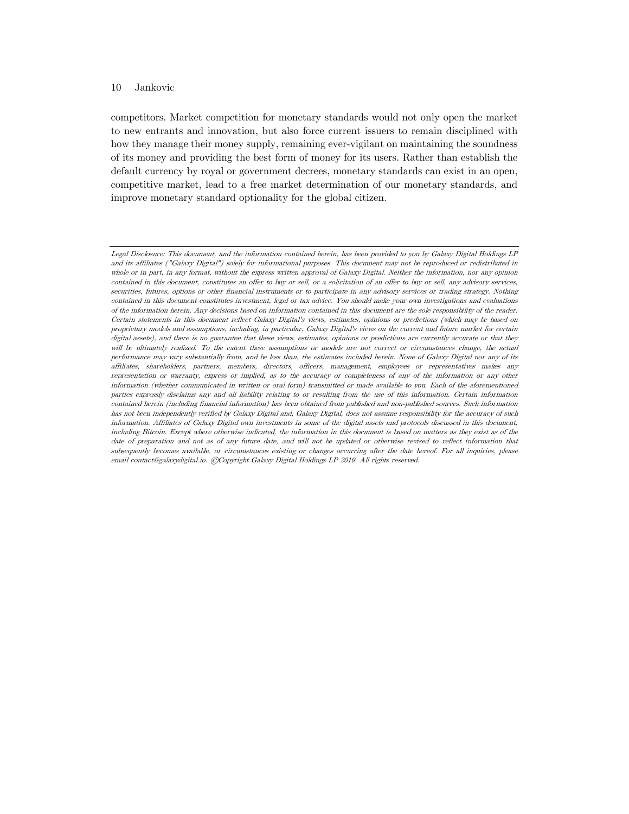competitors. Market competition for monetary standards would not only open the market to new entrants and innovation, but also force current issuers to remain disciplined with how they manage their money supply, remaining ever-vigilant on maintaining the soundness of its money and providing the best form of money for its users. Rather than establish the default currency by royal or government decrees, monetary standards can exist in an open, competitive market, lead to a free market determination of our monetary standards, and improve monetary standard optionality for the global citizen.

Legal Disclosure: This document, and the information contained herein, has been provided to you by Galaxy Digital Holdings LP and its affiliates ("Galaxy Digital") solely for informational purposes. This document may not be reproduced or redistributed in whole or in part, in any format, without the express written approval of Galaxy Digital. Neither the information, nor any opinion contained in this document, constitutes an offer to buy or sell, or a solicitation of an offer to buy or sell, any advisory services, securities, futures, options or other financial instruments or to participate in any advisory services or trading strategy. Nothing contained in this document constitutes investment, legal or tax advice. You should make your own investigations and evaluations of the information herein. Any decisions based on information contained in this document are the sole responsibility of the reader. Certain statements in this document reflect Galaxy Digital's views, estimates, opinions or predictions (which may be based on proprietary models and assumptions, including, in particular, Galaxy Digital's views on the current and future market for certain digital assets), and there is no guarantee that these views, estimates, opinions or predictions are currently accurate or that they will be ultimately realized. To the extent these assumptions or models are not correct or circumstances change, the actual performance may vary substantially from, and be less than, the estimates included herein. None of Galaxy Digital nor any of its affiliates, shareholders, partners, members, directors, officers, management, employees or representatives makes any representation or warranty, express or implied, as to the accuracy or completeness of any of the information or any other information (whether communicated in written or oral form) transmitted or made available to you. Each of the aforementioned parties expressly disclaims any and all liability relating to or resulting from the use of this information. Certain information contained herein (including financial information) has been obtained from published and non-published sources. Such information has not been independently verified by Galaxy Digital and, Galaxy Digital, does not assume responsibility for the accuracy of such information. Affiliates of Galaxy Digital own investments in some of the digital assets and protocols discussed in this document, including Bitcoin. Except where otherwise indicated, the information in this document is based on matters as they exist as of the date of preparation and not as of any future date, and will not be updated or otherwise revised to reflect information that subsequently becomes available, or circumstances existing or changes occurring after the date hereof. For all inquiries, please email contact@galaxydigital.io. ©Copyright Galaxy Digital Holdings LP 2019. All rights reserved.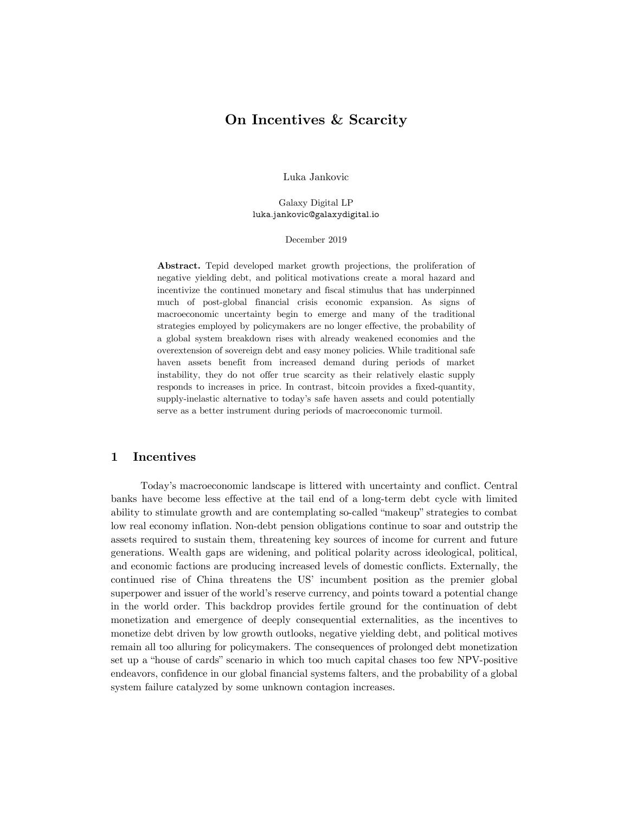# **On Incentives & Scarcity**

Luka Jankovic

Galaxy Digital LP luka.jankovic@galaxydigital.io

December 2019

**Abstract.** Tepid developed market growth projections, the proliferation of negative yielding debt, and political motivations create a moral hazard and incentivize the continued monetary and fiscal stimulus that has underpinned much of post-global financial crisis economic expansion. As signs of macroeconomic uncertainty begin to emerge and many of the traditional strategies employed by policymakers are no longer effective, the probability of a global system breakdown rises with already weakened economies and the overextension of sovereign debt and easy money policies. While traditional safe haven assets benefit from increased demand during periods of market instability, they do not offer true scarcity as their relatively elastic supply responds to increases in price. In contrast, bitcoin provides a fixed-quantity, supply-inelastic alternative to today's safe haven assets and could potentially serve as a better instrument during periods of macroeconomic turmoil.

# **1 Incentives**

Today's macroeconomic landscape is littered with uncertainty and conflict. Central banks have become less effective at the tail end of a long-term debt cycle with limited ability to stimulate growth and are contemplating so-called "makeup" strategies to combat low real economy inflation. Non-debt pension obligations continue to soar and outstrip the assets required to sustain them, threatening key sources of income for current and future generations. Wealth gaps are widening, and political polarity across ideological, political, and economic factions are producing increased levels of domestic conflicts. Externally, the continued rise of China threatens the US' incumbent position as the premier global superpower and issuer of the world's reserve currency, and points toward a potential change in the world order. This backdrop provides fertile ground for the continuation of debt monetization and emergence of deeply consequential externalities, as the incentives to monetize debt driven by low growth outlooks, negative yielding debt, and political motives remain all too alluring for policymakers. The consequences of prolonged debt monetization set up a "house of cards" scenario in which too much capital chases too few NPV-positive endeavors, confidence in our global financial systems falters, and the probability of a global system failure catalyzed by some unknown contagion increases.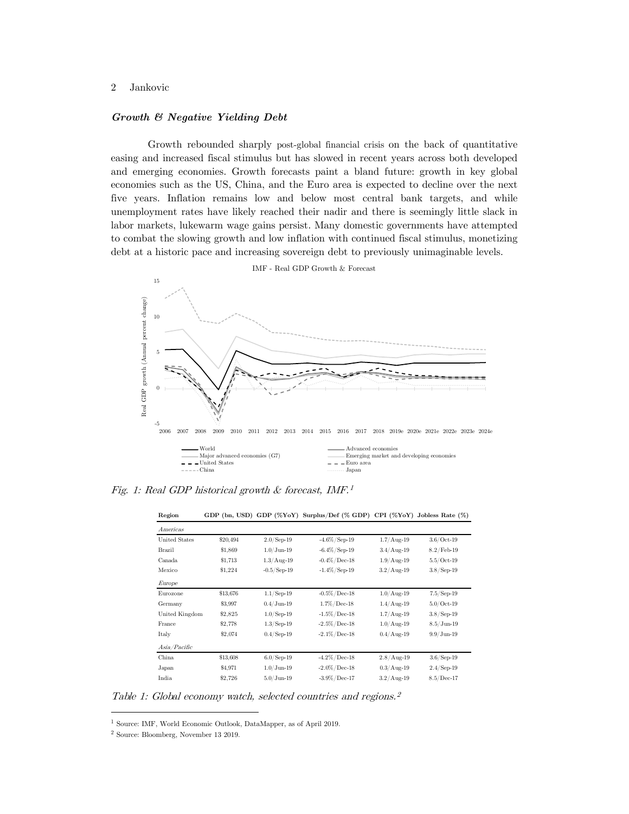#### *Growth & Negative Yielding Debt*

Growth rebounded sharply post-global financial crisis on the back of quantitative easing and increased fiscal stimulus but has slowed in recent years across both developed and emerging economies. Growth forecasts paint a bland future: growth in key global economies such as the US, China, and the Euro area is expected to decline over the next five years. Inflation remains low and below most central bank targets, and while unemployment rates have likely reached their nadir and there is seemingly little slack in labor markets, lukewarm wage gains persist. Many domestic governments have attempted to combat the slowing growth and low inflation with continued fiscal stimulus, monetizing debt at a historic pace and increasing sovereign debt to previously unimaginable levels.



Fig. 1: Real GDP historical growth & forecast, IMF. 1

| Tregion        |          |                       | GDI (bit, CSD) GDI (70101) Surphus/Der (70 GDI) CII (70101) Jobiess Rate (70) |               |                       |  |
|----------------|----------|-----------------------|-------------------------------------------------------------------------------|---------------|-----------------------|--|
| Americas       |          |                       |                                                                               |               |                       |  |
| United States  | \$20,494 | $2.0$ /Sep-19         | $-4.6\% / Sep-19$                                                             | $1.7/A$ ug-19 | $3.6/Oct-19$          |  |
| Brazil         | \$1,869  | $1.0/J$ un-19         | $-6.4\%$ / Sep-19                                                             | $3.4/$ Aug-19 | $8.2$ /Feb-19         |  |
| Canada         | \$1,713  | $1.3/Aug-19$          | $-0.4\% / Dec - 18$                                                           | $1.9/$ Aug-19 | $5.5/Oct-19$          |  |
| Mexico         | \$1,224  | $-0.5/\text{Sep-}19$  | $-1.4\%/$ Sep-19                                                              | $3.2/A$ ug-19 | $3.8/\mathrm{Sep-}19$ |  |
| Europe         |          |                       |                                                                               |               |                       |  |
| Eurozone       | \$13,676 | $1.1/\mathrm{Sep-}19$ | $-0.5\%$ / Dec-18                                                             | $1.0/$ Aug-19 | $7.5/Sep-19$          |  |
| Germany        | \$3,997  | $0.4/J$ un-19         | $1.7\% / Dec-18$                                                              | $1.4/$ Aug-19 | $5.0/Oct-19$          |  |
| United Kingdom | \$2,825  | $1.0$ /Sep-19         | $-1.5\%$ / Dec-18                                                             | $1.7/A$ ug-19 | $3.8$ / Sep-19        |  |
| France         | \$2,778  | $1.3$ /Sep-19         | $-2.5\% / Dec - 18$                                                           | $1.0/Aug-19$  | $8.5/J$ un-19         |  |
| Italy          | \$2,074  | $0.4/\mathrm{Sep-}19$ | $-2.1\% / Dec - 18$                                                           | $0.4/$ Aug-19 | $9.9/J$ un-19         |  |
| Asia/Pacific   |          |                       |                                                                               |               |                       |  |
| China          | \$13,608 | $6.0$ /Sep-19         | $-4.2\% / Dec - 18$                                                           | $2.8/Aug-19$  | $3.6/\mathrm{Sep-}19$ |  |
| Japan          | \$4,971  | $1.0/J$ un-19         | $-2.0\% / Dec - 18$                                                           | $0.3/A$ ug-19 | $2.4$ /Sep-19         |  |
| India          | \$2,726  | $5.0/J$ un-19         | $-3.9\% / Dec-17$                                                             | $3.2/A$ ug-19 | $8.5/Dec-17$          |  |
|                |          |                       |                                                                               |               |                       |  |

**Region GDP** (bn, USD) **GDP** (%YoY) **Surplus** *Def* (% GDP) **CPI** (%YoY) **Jobless** 

Table 1: Global economy watch, selected countries and regions. 2

 $^1$  Source: IMF, World Economic Outlook, DataMapper, as of April 2019.

<sup>2</sup> Source: Bloomberg, November 13 2019.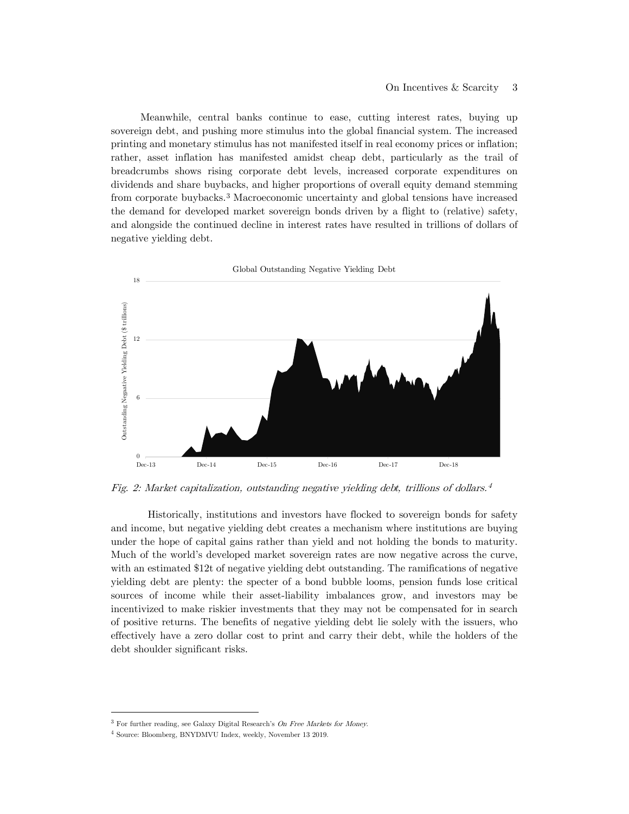Meanwhile, central banks continue to ease, cutting interest rates, buying up sovereign debt, and pushing more stimulus into the global financial system. The increased printing and monetary stimulus has not manifested itself in real economy prices or inflation; rather, asset inflation has manifested amidst cheap debt, particularly as the trail of breadcrumbs shows rising corporate debt levels, increased corporate expenditures on dividends and share buybacks, and higher proportions of overall equity demand stemming from corporate buybacks.[3](#page-26-0) Macroeconomic uncertainty and global tensions have increased the demand for developed market sovereign bonds driven by a flight to (relative) safety, and alongside the continued decline in interest rates have resulted in trillions of dollars of negative yielding debt.



Fig. 2: Market capitalization, outstanding negative yielding debt, trillions of dollars. [4](#page-26-1)

Historically, institutions and investors have flocked to sovereign bonds for safety and income, but negative yielding debt creates a mechanism where institutions are buying under the hope of capital gains rather than yield and not holding the bonds to maturity. Much of the world's developed market sovereign rates are now negative across the curve, with an estimated \$12t of negative yielding debt outstanding. The ramifications of negative yielding debt are plenty: the specter of a bond bubble looms, pension funds lose critical sources of income while their asset-liability imbalances grow, and investors may be incentivized to make riskier investments that they may not be compensated for in search of positive returns. The benefits of negative yielding debt lie solely with the issuers, who effectively have a zero dollar cost to print and carry their debt, while the holders of the debt shoulder significant risks.

<span id="page-26-0"></span><sup>&</sup>lt;sup>3</sup> For further reading, see Galaxy Digital Research's On Free Markets for Money.

<span id="page-26-1"></span><sup>4</sup> Source: Bloomberg, BNYDMVU Index, weekly, November 13 2019.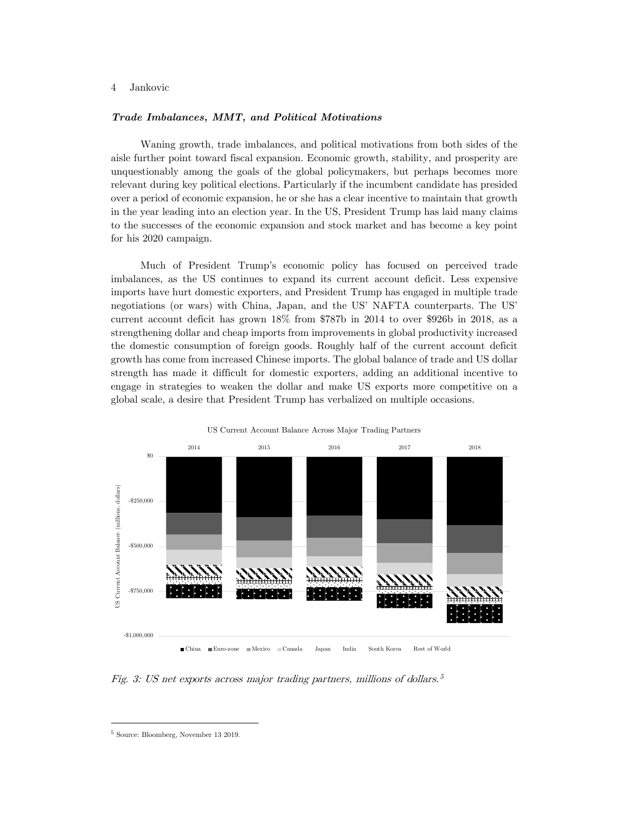#### *Trade Imbalances, MMT, and Political Motivations*

Waning growth, trade imbalances, and political motivations from both sides of the aisle further point toward fiscal expansion. Economic growth, stability, and prosperity are unquestionably among the goals of the global policymakers, but perhaps becomes more relevant during key political elections. Particularly if the incumbent candidate has presided over a period of economic expansion, he or she has a clear incentive to maintain that growth in the year leading into an election year. In the US, President Trump has laid many claims to the successes of the economic expansion and stock market and has become a key point for his 2020 campaign.

Much of President Trump's economic policy has focused on perceived trade imbalances, as the US continues to expand its current account deficit. Less expensive imports have hurt domestic exporters, and President Trump has engaged in multiple trade negotiations (or wars) with China, Japan, and the US' NAFTA counterparts. The US' current account deficit has grown 18% from \$787b in 2014 to over \$926b in 2018, as a strengthening dollar and cheap imports from improvements in global productivity increased the domestic consumption of foreign goods. Roughly half of the current account deficit growth has come from increased Chinese imports. The global balance of trade and US dollar strength has made it difficult for domestic exporters, adding an additional incentive to engage in strategies to weaken the dollar and make US exports more competitive on a global scale, a desire that President Trump has verbalized on multiple occasions.



China Euro-zone Mexico Canada Japan India South Korea Rest of World

Fig. 3: US net exports across major trading partners, millions of dollars. [5](#page-27-0)

<span id="page-27-0"></span><sup>5</sup> Source: Bloomberg, November 13 2019.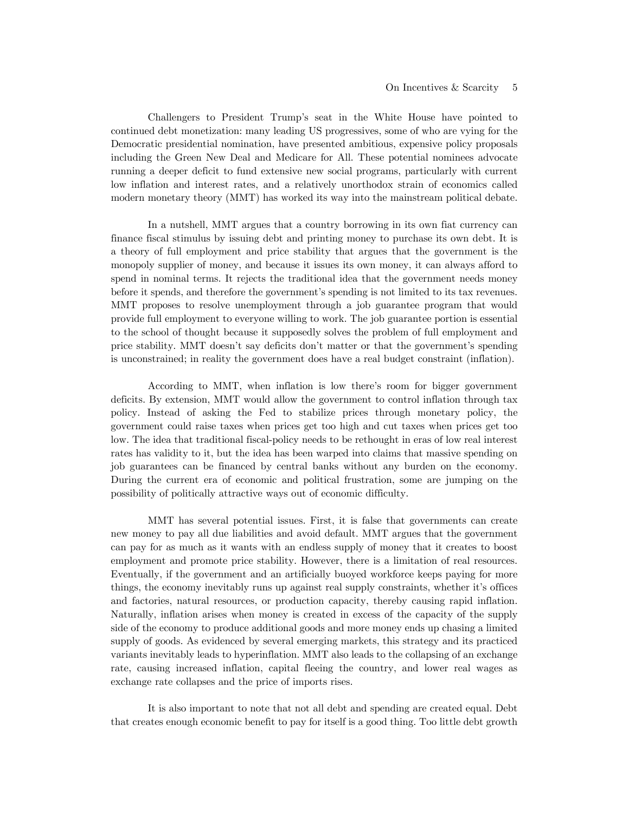Challengers to President Trump's seat in the White House have pointed to continued debt monetization: many leading US progressives, some of who are vying for the Democratic presidential nomination, have presented ambitious, expensive policy proposals including the Green New Deal and Medicare for All. These potential nominees advocate running a deeper deficit to fund extensive new social programs, particularly with current low inflation and interest rates, and a relatively unorthodox strain of economics called modern monetary theory (MMT) has worked its way into the mainstream political debate.

In a nutshell, MMT argues that a country borrowing in its own fiat currency can finance fiscal stimulus by issuing debt and printing money to purchase its own debt. It is a theory of full employment and price stability that argues that the government is the monopoly supplier of money, and because it issues its own money, it can always afford to spend in nominal terms. It rejects the traditional idea that the government needs money before it spends, and therefore the government's spending is not limited to its tax revenues. MMT proposes to resolve unemployment through a job guarantee program that would provide full employment to everyone willing to work. The job guarantee portion is essential to the school of thought because it supposedly solves the problem of full employment and price stability. MMT doesn't say deficits don't matter or that the government's spending is unconstrained; in reality the government does have a real budget constraint (inflation).

According to MMT, when inflation is low there's room for bigger government deficits. By extension, MMT would allow the government to control inflation through tax policy. Instead of asking the Fed to stabilize prices through monetary policy, the government could raise taxes when prices get too high and cut taxes when prices get too low. The idea that traditional fiscal-policy needs to be rethought in eras of low real interest rates has validity to it, but the idea has been warped into claims that massive spending on job guarantees can be financed by central banks without any burden on the economy. During the current era of economic and political frustration, some are jumping on the possibility of politically attractive ways out of economic difficulty.

MMT has several potential issues. First, it is false that governments can create new money to pay all due liabilities and avoid default. MMT argues that the government can pay for as much as it wants with an endless supply of money that it creates to boost employment and promote price stability. However, there is a limitation of real resources. Eventually, if the government and an artificially buoyed workforce keeps paying for more things, the economy inevitably runs up against real supply constraints, whether it's offices and factories, natural resources, or production capacity, thereby causing rapid inflation. Naturally, inflation arises when money is created in excess of the capacity of the supply side of the economy to produce additional goods and more money ends up chasing a limited supply of goods. As evidenced by several emerging markets, this strategy and its practiced variants inevitably leads to hyperinflation. MMT also leads to the collapsing of an exchange rate, causing increased inflation, capital fleeing the country, and lower real wages as exchange rate collapses and the price of imports rises.

It is also important to note that not all debt and spending are created equal. Debt that creates enough economic benefit to pay for itself is a good thing. Too little debt growth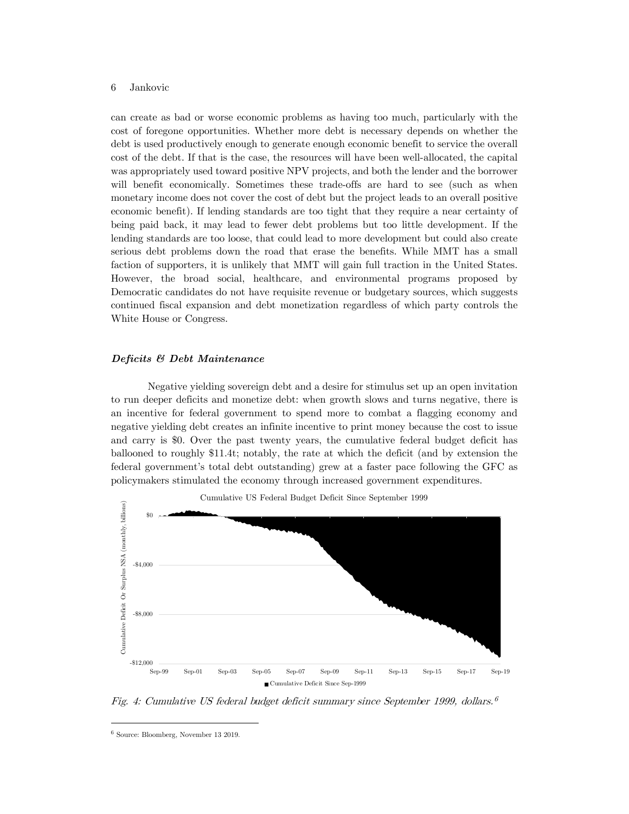can create as bad or worse economic problems as having too much, particularly with the cost of foregone opportunities. Whether more debt is necessary depends on whether the debt is used productively enough to generate enough economic benefit to service the overall cost of the debt. If that is the case, the resources will have been well-allocated, the capital was appropriately used toward positive NPV projects, and both the lender and the borrower will benefit economically. Sometimes these trade-offs are hard to see (such as when monetary income does not cover the cost of debt but the project leads to an overall positive economic benefit). If lending standards are too tight that they require a near certainty of being paid back, it may lead to fewer debt problems but too little development. If the lending standards are too loose, that could lead to more development but could also create serious debt problems down the road that erase the benefits. While MMT has a small faction of supporters, it is unlikely that MMT will gain full traction in the United States. However, the broad social, healthcare, and environmental programs proposed by Democratic candidates do not have requisite revenue or budgetary sources, which suggests continued fiscal expansion and debt monetization regardless of which party controls the White House or Congress.

#### *Deficits & Debt Maintenance*

Negative yielding sovereign debt and a desire for stimulus set up an open invitation to run deeper deficits and monetize debt: when growth slows and turns negative, there is an incentive for federal government to spend more to combat a flagging economy and negative yielding debt creates an infinite incentive to print money because the cost to issue and carry is \$0. Over the past twenty years, the cumulative federal budget deficit has ballooned to roughly \$11.4t; notably, the rate at which the deficit (and by extension the federal government's total debt outstanding) grew at a faster pace following the GFC as policymakers stimulated the economy through increased government expenditures.



Fig. 4: Cumulative US federal budget deficit summary since September 1999, dollars. [6](#page-29-0)

<span id="page-29-0"></span><sup>6</sup> Source: Bloomberg, November 13 2019.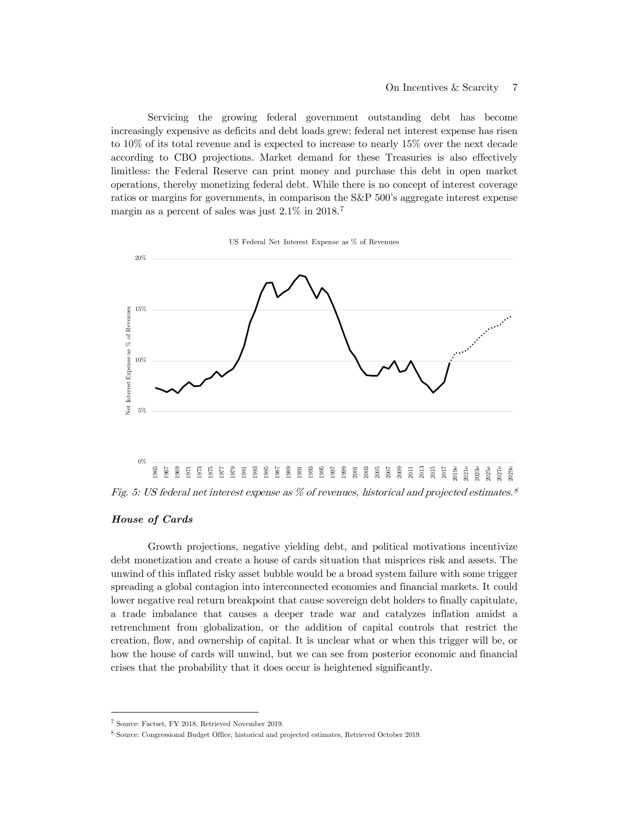Servicing the growing federal government outstanding debt has become increasingly expensive as deficits and debt loads grew: federal net interest expense has risen to 10% of its total revenue and is expected to increase to nearly 15% over the next decade according to CBO projections. Market demand for these Treasuries is also effectively limitless: the Federal Reserve can print money and purchase this debt in open market operations, thereby monetizing federal debt. While there is no concept of interest coverage ratios or margins for governments, in comparison the S&P 500's aggregate interest expense margin as a percent of sales was just 2.1% in 2018.[7](#page-30-0)

US Federal Net Interest Expense as % of Revenues



#### *House of Cards*

Growth projections, negative yielding debt, and political motivations incentivize debt monetization and create a house of cards situation that misprices risk and assets. The unwind of this inflated risky asset bubble would be a broad system failure with some trigger spreading a global contagion into interconnected economies and financial markets. It could lower negative real return breakpoint that cause sovereign debt holders to finally capitulate, a trade imbalance that causes a deeper trade war and catalyzes inflation amidst a retrenchment from globalization, or the addition of capital controls that restrict the creation, flow, and ownership of capital. It is unclear what or when this trigger will be, or how the house of cards will unwind, but we can see from posterior economic and financial crises that the probability that it does occur is heightened significantly.

<span id="page-30-0"></span><sup>7</sup> Source: Factset, FY 2018, Retrieved November 2019.

<sup>8</sup> Source: Congressional Budget Office, historical and projected estimates, Retrieved October 2019.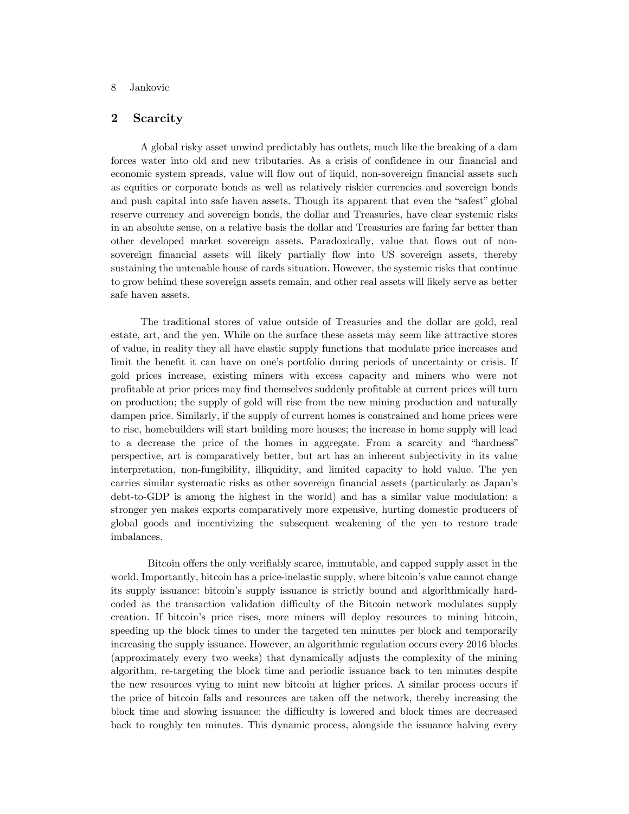# **2 Scarcity**

A global risky asset unwind predictably has outlets, much like the breaking of a dam forces water into old and new tributaries. As a crisis of confidence in our financial and economic system spreads, value will flow out of liquid, non-sovereign financial assets such as equities or corporate bonds as well as relatively riskier currencies and sovereign bonds and push capital into safe haven assets. Though its apparent that even the "safest" global reserve currency and sovereign bonds, the dollar and Treasuries, have clear systemic risks in an absolute sense, on a relative basis the dollar and Treasuries are faring far better than other developed market sovereign assets. Paradoxically, value that flows out of nonsovereign financial assets will likely partially flow into US sovereign assets, thereby sustaining the untenable house of cards situation. However, the systemic risks that continue to grow behind these sovereign assets remain, and other real assets will likely serve as better safe haven assets.

The traditional stores of value outside of Treasuries and the dollar are gold, real estate, art, and the yen. While on the surface these assets may seem like attractive stores of value, in reality they all have elastic supply functions that modulate price increases and limit the benefit it can have on one's portfolio during periods of uncertainty or crisis. If gold prices increase, existing miners with excess capacity and miners who were not profitable at prior prices may find themselves suddenly profitable at current prices will turn on production; the supply of gold will rise from the new mining production and naturally dampen price. Similarly, if the supply of current homes is constrained and home prices were to rise, homebuilders will start building more houses; the increase in home supply will lead to a decrease the price of the homes in aggregate. From a scarcity and "hardness" perspective, art is comparatively better, but art has an inherent subjectivity in its value interpretation, non-fungibility, illiquidity, and limited capacity to hold value. The yen carries similar systematic risks as other sovereign financial assets (particularly as Japan's debt-to-GDP is among the highest in the world) and has a similar value modulation: a stronger yen makes exports comparatively more expensive, hurting domestic producers of global goods and incentivizing the subsequent weakening of the yen to restore trade imbalances.

Bitcoin offers the only verifiably scarce, immutable, and capped supply asset in the world. Importantly, bitcoin has a price-inelastic supply, where bitcoin's value cannot change its supply issuance: bitcoin's supply issuance is strictly bound and algorithmically hardcoded as the transaction validation difficulty of the Bitcoin network modulates supply creation. If bitcoin's price rises, more miners will deploy resources to mining bitcoin, speeding up the block times to under the targeted ten minutes per block and temporarily increasing the supply issuance. However, an algorithmic regulation occurs every 2016 blocks (approximately every two weeks) that dynamically adjusts the complexity of the mining algorithm, re-targeting the block time and periodic issuance back to ten minutes despite the new resources vying to mint new bitcoin at higher prices. A similar process occurs if the price of bitcoin falls and resources are taken off the network, thereby increasing the block time and slowing issuance: the difficulty is lowered and block times are decreased back to roughly ten minutes. This dynamic process, alongside the issuance halving every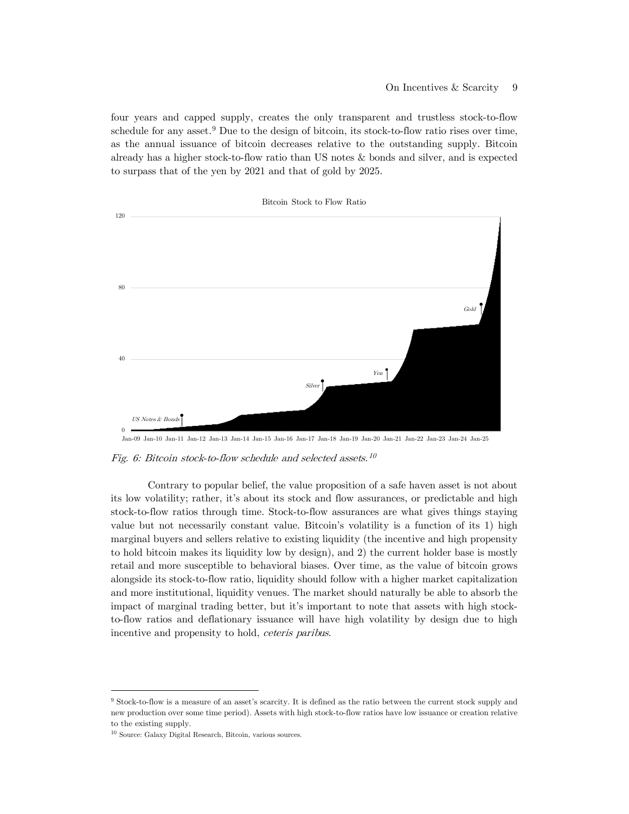four years and capped supply, creates the only transparent and trustless stock-to-flow schedule for any asset. $9$  Due to the design of bitcoin, its stock-to-flow ratio rises over time, as the annual issuance of bitcoin decreases relative to the outstanding supply. Bitcoin already has a higher stock-to-flow ratio than US notes & bonds and silver, and is expected to surpass that of the yen by 2021 and that of gold by 2025.



Fig. 6: Bitcoin stock-to-flow schedule and selected assets. [10](#page-32-1)

Contrary to popular belief, the value proposition of a safe haven asset is not about its low volatility; rather, it's about its stock and flow assurances, or predictable and high stock-to-flow ratios through time. Stock-to-flow assurances are what gives things staying value but not necessarily constant value. Bitcoin's volatility is a function of its 1) high marginal buyers and sellers relative to existing liquidity (the incentive and high propensity to hold bitcoin makes its liquidity low by design), and 2) the current holder base is mostly retail and more susceptible to behavioral biases. Over time, as the value of bitcoin grows alongside its stock-to-flow ratio, liquidity should follow with a higher market capitalization and more institutional, liquidity venues. The market should naturally be able to absorb the impact of marginal trading better, but it's important to note that assets with high stockto-flow ratios and deflationary issuance will have high volatility by design due to high incentive and propensity to hold, ceteris paribus.

<span id="page-32-0"></span><sup>9</sup> Stock-to-flow is a measure of an asset's scarcity. It is defined as the ratio between the current stock supply and new production over some time period). Assets with high stock-to-flow ratios have low issuance or creation relative to the existing supply.

<span id="page-32-1"></span> $^{10}$  Source: Galaxy Digital Research, Bitcoin, various sources.